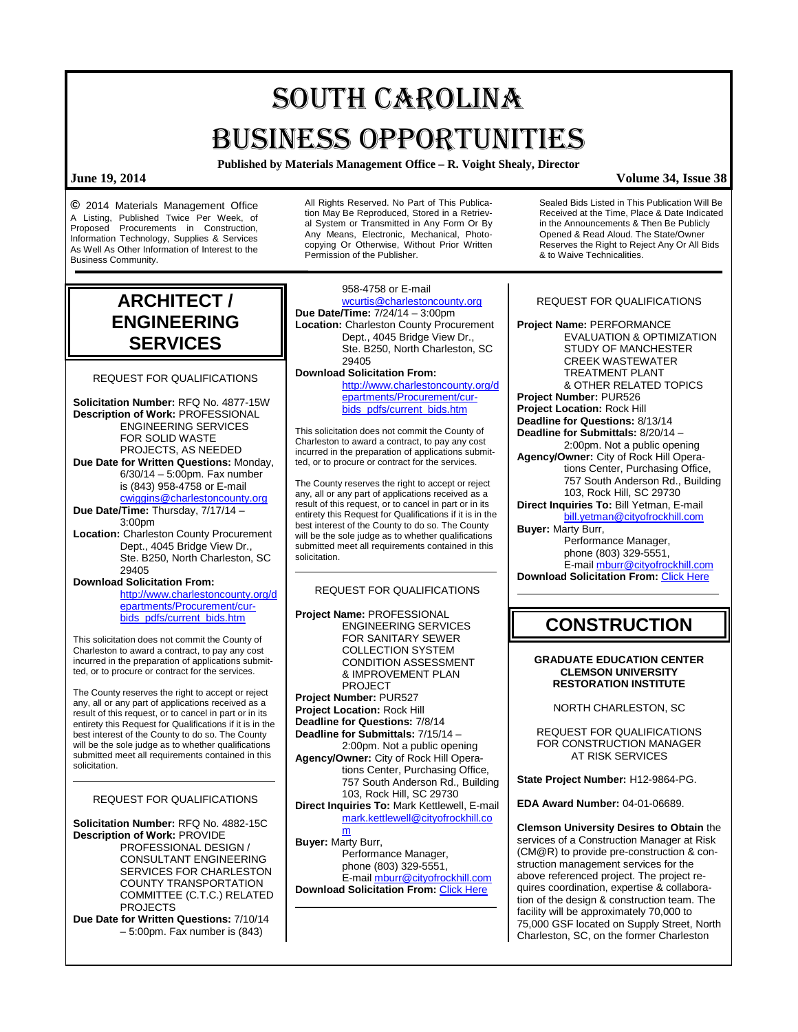# SOUTH CAROLINA BUSINESS OPPORTUNITIES

**Published by Materials Management Office – R. Voight Shealy, Director**

### **June 19, 2014 Volume 34, Issue 38**

**©** 2014 Materials Management Office A Listing, Published Twice Per Week, of Proposed Procurements in Construction, Information Technology, Supplies & Services As Well As Other Information of Interest to the Business Community.

All Rights Reserved. No Part of This Publication May Be Reproduced, Stored in a Retrieval System or Transmitted in Any Form Or By Any Means, Electronic, Mechanical, Photocopying Or Otherwise, Without Prior Written Permission of the Publisher.

## **ARCHITECT / ENGINEERING SERVICES**

REQUEST FOR QUALIFICATIONS

**Solicitation Number:** RFQ No. 4877-15W **Description of Work:** PROFESSIONAL ENGINEERING SERVICES FOR SOLID WASTE PROJECTS, AS NEEDED **Due Date for Written Questions:** Monday, 6/30/14 – 5:00pm. Fax number is (843) 958-4758 or E-mail [cwiggins@charlestoncounty.org](mailto:cwiggins@charlestoncounty.org) **Due Date/Time:** Thursday, 7/17/14 – 3:00pm

**Location:** Charleston County Procurement Dept., 4045 Bridge View Dr., Ste. B250, North Charleston, SC 29405

**Download Solicitation From:**

[http://www.charlestoncounty.org/d](http://www.charlestoncounty.org/departments/Procurement/cur-bids_pdfs/current_bids.htm) [epartments/Procurement/cur](http://www.charlestoncounty.org/departments/Procurement/cur-bids_pdfs/current_bids.htm)[bids\\_pdfs/current\\_bids.htm](http://www.charlestoncounty.org/departments/Procurement/cur-bids_pdfs/current_bids.htm)

This solicitation does not commit the County of Charleston to award a contract, to pay any cost incurred in the preparation of applications submitted, or to procure or contract for the services.

The County reserves the right to accept or reject any, all or any part of applications received as a result of this request, or to cancel in part or in its entirety this Request for Qualifications if it is in the best interest of the County to do so. The County will be the sole judge as to whether qualifications submitted meet all requirements contained in this solicitation.

### REQUEST FOR QUALIFICATIONS

**Solicitation Number:** RFQ No. 4882-15C **Description of Work:** PROVIDE PROFESSIONAL DESIGN / CONSULTANT ENGINEERING SERVICES FOR CHARLESTON COUNTY TRANSPORTATION COMMITTEE (C.T.C.) RELATED PROJECTS

**Due Date for Written Questions:** 7/10/14 – 5:00pm. Fax number is (843)

958-4758 or E-mail [wcurtis@charlestoncounty.org](mailto:wcurtis@charlestoncounty.org) **Due Date/Time:** 7/24/14 – 3:00pm **Location:** Charleston County Procurement Dept., 4045 Bridge View Dr., Ste. B250, North Charleston, SC

29405 **Download Solicitation From:**

[http://www.charlestoncounty.org/d](http://www.charlestoncounty.org/departments/Procurement/cur-bids_pdfs/current_bids.htm) [epartments/Procurement/cur](http://www.charlestoncounty.org/departments/Procurement/cur-bids_pdfs/current_bids.htm)[bids\\_pdfs/current\\_bids.htm](http://www.charlestoncounty.org/departments/Procurement/cur-bids_pdfs/current_bids.htm)

This solicitation does not commit the County of Charleston to award a contract, to pay any cost incurred in the preparation of applications submitted, or to procure or contract for the services.

The County reserves the right to accept or reject any, all or any part of applications received as a result of this request, or to cancel in part or in its entirety this Request for Qualifications if it is in the best interest of the County to do so. The County will be the sole judge as to whether qualifications submitted meet all requirements contained in this solicitation.

#### REQUEST FOR QUALIFICATIONS

**Project Name:** PROFESSIONAL ENGINEERING SERVICES FOR SANITARY SEWER COLLECTION SYSTEM CONDITION ASSESSMENT & IMPROVEMENT PLAN PROJECT **Project Number:** PUR527 **Project Location:** Rock Hill **Deadline for Questions:** 7/8/14 **Deadline for Submittals:** 7/15/14 – 2:00pm. Not a public opening **Agency/Owner:** City of Rock Hill Operations Center, Purchasing Office, 757 South Anderson Rd., Building 103, Rock Hill, SC 29730 **Direct Inquiries To:** Mark Kettlewell, E-mail [mark.kettlewell@cityofrockhill.co](mailto:mark.kettlewell@cityofrockhill.com) [m](mailto:mark.kettlewell@cityofrockhill.com) **Buyer:** Marty Burr, Performance Manager,

phone (803) 329-5551, E-mai[l mburr@cityofrockhill.com](mailto:mburr@cityofrockhill.com) **Download Solicitation From: [Click Here](http://cityofrockhill.com/departments/general-government/purchasing/bids-proposal-requests/-item-287)** 

Sealed Bids Listed in This Publication Will Be Received at the Time, Place & Date Indicated in the Announcements & Then Be Publicly Opened & Read Aloud. The State/Owner Reserves the Right to Reject Any Or All Bids & to Waive Technicalities.

#### REQUEST FOR QUALIFICATIONS

**Project Name:** PERFORMANCE EVALUATION & OPTIMIZATION STUDY OF MANCHESTER CREEK WASTEWATER TREATMENT PLANT & OTHER RELATED TOPICS **Project Number:** PUR526 **Project Location:** Rock Hill **Deadline for Questions:** 8/13/14 **Deadline for Submittals:** 8/20/14 – 2:00pm. Not a public opening **Agency/Owner:** City of Rock Hill Operations Center, Purchasing Office, 757 South Anderson Rd., Building 103, Rock Hill, SC 29730 **Direct Inquiries To:** Bill Yetman, E-mail [bill.yetman@cityofrockhill.com](mailto:bill.yetman@cityofrockhill.com) **Buyer:** Marty Burr,

Performance Manager,

phone (803) 329-5551,

E-mai[l mburr@cityofrockhill.com](mailto:mburr@cityofrockhill.com) **Download Solicitation From:** [Click Here](http://cityofrockhill.com/departments/general-government/purchasing/bids-proposal-requests/-item-287)

## **CONSTRUCTION**

#### **GRADUATE EDUCATION CENTER CLEMSON UNIVERSITY RESTORATION INSTITUTE**

NORTH CHARLESTON, SC

REQUEST FOR QUALIFICATIONS FOR CONSTRUCTION MANAGER AT RISK SERVICES

**State Project Number:** H12-9864-PG.

**EDA Award Number:** 04-01-06689.

**Clemson University Desires to Obtain** the services of a Construction Manager at Risk (CM@R) to provide pre-construction & construction management services for the above referenced project. The project requires coordination, expertise & collaboration of the design & construction team. The facility will be approximately 70,000 to 75,000 GSF located on Supply Street, North Charleston, SC, on the former Charleston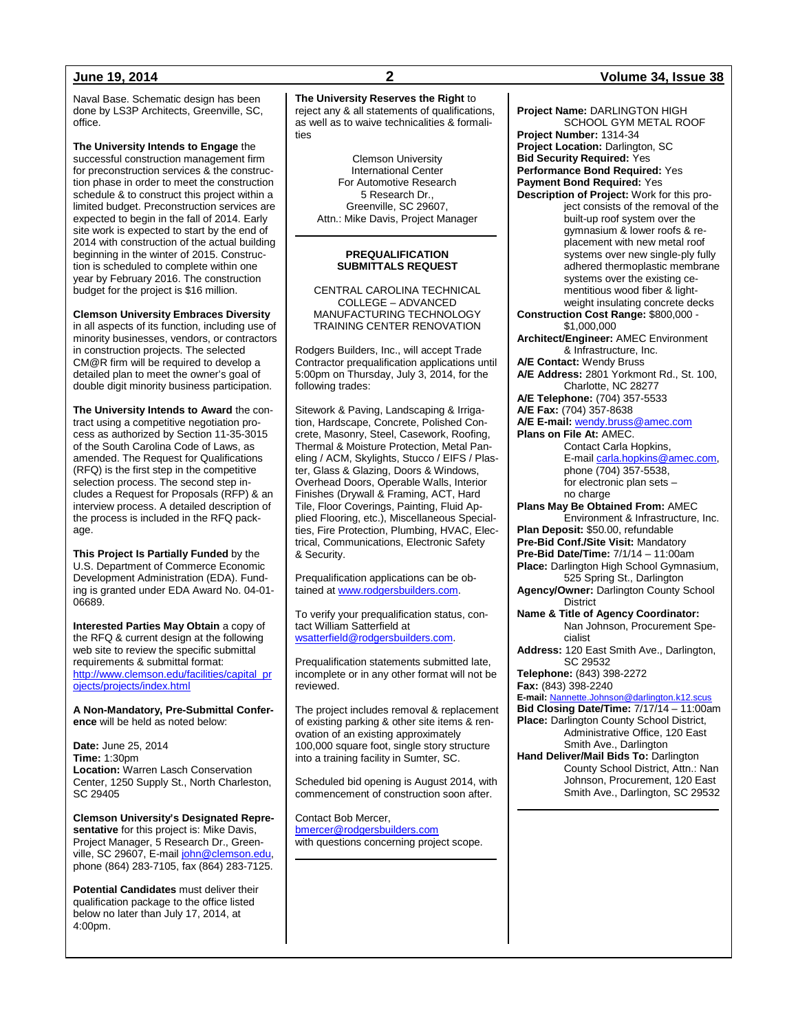Naval Base. Schematic design has been done by LS3P Architects, Greenville, SC, office.

**The University Intends to Engage** the successful construction management firm for preconstruction services & the construction phase in order to meet the construction schedule & to construct this project within a limited budget. Preconstruction services are expected to begin in the fall of 2014. Early site work is expected to start by the end of 2014 with construction of the actual building beginning in the winter of 2015. Construction is scheduled to complete within one year by February 2016. The construction budget for the project is \$16 million.

#### **Clemson University Embraces Diversity**

in all aspects of its function, including use of minority businesses, vendors, or contractors in construction projects. The selected CM@R firm will be required to develop a detailed plan to meet the owner's goal of double digit minority business participation.

**The University Intends to Award** the contract using a competitive negotiation process as authorized by Section 11-35-3015 of the South Carolina Code of Laws, as amended. The Request for Qualifications (RFQ) is the first step in the competitive selection process. The second step includes a Request for Proposals (RFP) & an interview process. A detailed description of the process is included in the RFQ package.

**This Project Is Partially Funded** by the U.S. Department of Commerce Economic Development Administration (EDA). Funding is granted under EDA Award No. 04-01- 06689.

**Interested Parties May Obtain** a copy of the RFQ & current design at the following web site to review the specific submittal requirements & submittal format: [http://www.clemson.edu/facilities/capital\\_pr](http://www.clemson.edu/facilities/capital_projects/projects/index.html) [ojects/projects/index.html](http://www.clemson.edu/facilities/capital_projects/projects/index.html)

**A Non-Mandatory, Pre-Submittal Conference** will be held as noted below:

**Date:** June 25, 2014 **Time:** 1:30pm **Location:** Warren Lasch Conservation Center, 1250 Supply St., North Charleston, SC 29405

**Clemson University's Designated Representative** for this project is: Mike Davis, Project Manager, 5 Research Dr., Greenville, SC 29607, E-mai[l john@clemson.edu,](mailto:john@clemson.edu) phone (864) 283-7105, fax (864) 283-7125.

**Potential Candidates** must deliver their qualification package to the office listed below no later than July 17, 2014, at 4:00pm.

**The University Reserves the Right** to reject any & all statements of qualifications. as well as to waive technicalities & formalities

> Clemson University International Center For Automotive Research 5 Research Dr., Greenville, SC 29607, Attn.: Mike Davis, Project Manager

#### **PREQUALIFICATION SUBMITTALS REQUEST**

CENTRAL CAROLINA TECHNICAL COLLEGE – ADVANCED MANUFACTURING TECHNOLOGY TRAINING CENTER RENOVATION

Rodgers Builders, Inc., will accept Trade Contractor prequalification applications until 5:00pm on Thursday, July 3, 2014, for the following trades:

Sitework & Paving, Landscaping & Irrigation, Hardscape, Concrete, Polished Concrete, Masonry, Steel, Casework, Roofing, Thermal & Moisture Protection, Metal Paneling / ACM, Skylights, Stucco / EIFS / Plaster, Glass & Glazing, Doors & Windows, Overhead Doors, Operable Walls, Interior Finishes (Drywall & Framing, ACT, Hard Tile, Floor Coverings, Painting, Fluid Applied Flooring, etc.), Miscellaneous Specialties, Fire Protection, Plumbing, HVAC, Electrical, Communications, Electronic Safety & Security.

Prequalification applications can be obtained a[t www.rodgersbuilders.com.](http://www.rodgersbuilders.com/) 

To verify your prequalification status, contact William Satterfield at [wsatterfield@rodgersbuilders.com.](mailto:wsatterfield@rodgersbuilders.com) 

Prequalification statements submitted late, incomplete or in any other format will not be reviewed.

The project includes removal & replacement of existing parking & other site items & renovation of an existing approximately 100,000 square foot, single story structure into a training facility in Sumter, SC.

Scheduled bid opening is August 2014, with commencement of construction soon after.

Contact Bob Mercer, [bmercer@rodgersbuilders.com](mailto:bmercer@rodgersbuilders.com) with questions concerning project scope.

### **June 19, 2014 2 Volume 34, Issue 38**

**Project Name:** DARLINGTON HIGH SCHOOL GYM METAL ROOF **Project Number:** 1314-34 **Project Location:** Darlington, SC **Bid Security Required:** Yes **Performance Bond Required:** Yes **Payment Bond Required:** Yes **Description of Project:** Work for this project consists of the removal of the built-up roof system over the gymnasium & lower roofs & replacement with new metal roof systems over new single-ply fully adhered thermoplastic membrane systems over the existing cementitious wood fiber & lightweight insulating concrete decks **Construction Cost Range:** \$800,000 - \$1,000,000 **Architect/Engineer:** AMEC Environment & Infrastructure, Inc. **A/E Contact:** Wendy Bruss **A/E Address:** 2801 Yorkmont Rd., St. 100, Charlotte, NC 28277 **A/E Telephone:** (704) 357-5533 **A/E Fax:** (704) 357-8638 **A/E E-mail:** [wendy.bruss@amec.com](mailto:wendy.bruss@amec.com) **Plans on File At:** AMEC. Contact Carla Hopkins, E-mai[l carla.hopkins@amec.com,](mailto:carla.hopkins@amec.com) phone (704) 357-5538, for electronic plan sets – no charge **Plans May Be Obtained From:** AMEC Environment & Infrastructure, Inc. **Plan Deposit:** \$50.00, refundable **Pre-Bid Conf./Site Visit:** Mandatory **Pre-Bid Date/Time:** 7/1/14 – 11:00am **Place:** Darlington High School Gymnasium, 525 Spring St., Darlington **Agency/Owner:** Darlington County School District **Name & Title of Agency Coordinator:** Nan Johnson, Procurement Specialist **Address:** 120 East Smith Ave., Darlington, SC 29532 **Telephone:** (843) 398-2272 **Fax:** (843) 398-2240 **E-mail:** [Nannette.Johnson@darlington.k12.scus](mailto:Nannette.Johnson@darlington.k12.scus) **Bid Closing Date/Time:** 7/17/14 – 11:00am **Place:** Darlington County School District, Administrative Office, 120 East Smith Ave., Darlington **Hand Deliver/Mail Bids To:** Darlington County School District, Attn.: Nan Johnson, Procurement, 120 East Smith Ave., Darlington, SC 29532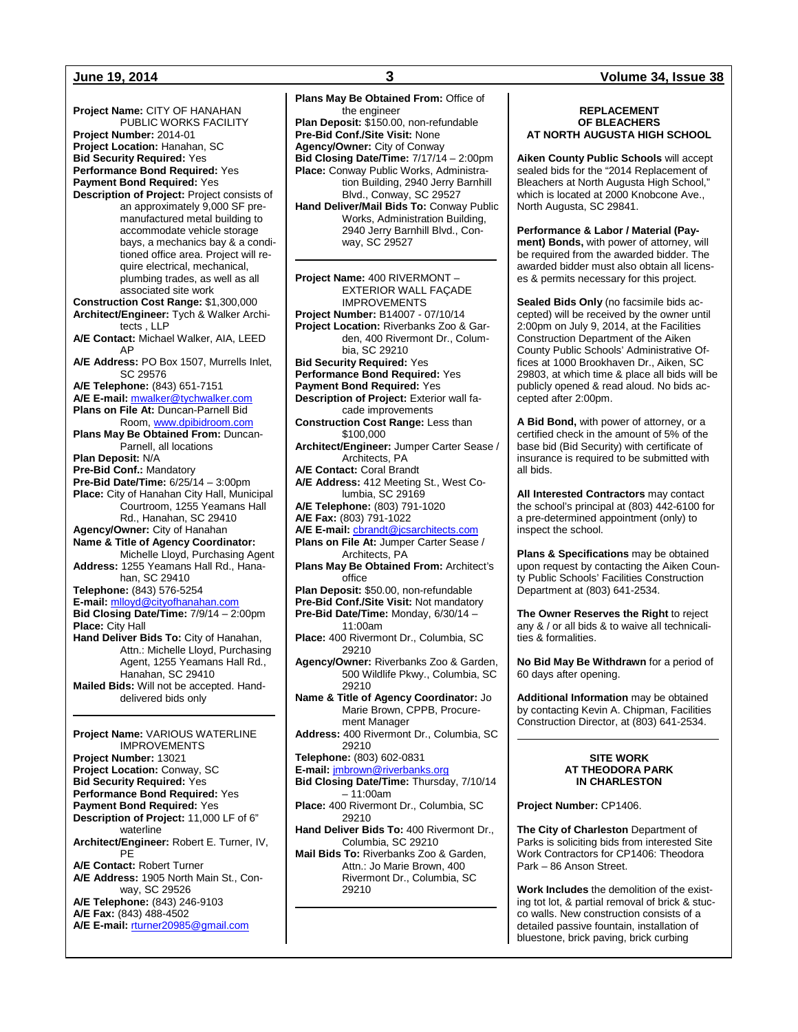**Project Name:** CITY OF HANAHAN PUBLIC WORKS FACILITY **Project Number:** 2014-01 **Project Location:** Hanahan, SC **Bid Security Required:** Yes **Performance Bond Required:** Yes **Payment Bond Required:** Yes **Description of Project:** Project consists of an approximately 9,000 SF premanufactured metal building to accommodate vehicle storage bays, a mechanics bay & a conditioned office area. Project will require electrical, mechanical, plumbing trades, as well as all associated site work **Construction Cost Range:** \$1,300,000 **Architect/Engineer:** Tych & Walker Architects , LLP **A/E Contact:** Michael Walker, AIA, LEED AP **A/E Address:** PO Box 1507, Murrells Inlet, SC 29576 **A/E Telephone:** (843) 651-7151 **A/E E-mail:** [mwalker@tychwalker.com](mailto:mwalker@tychwalker.com) **Plans on File At:** Duncan-Parnell Bid Room, [www.dpibidroom.com](http://www.dpibidroom.com/) **Plans May Be Obtained From:** Duncan-Parnell, all locations **Plan Deposit:** N/A **Pre-Bid Conf.:** Mandatory **Pre-Bid Date/Time:** 6/25/14 – 3:00pm **Place:** City of Hanahan City Hall, Municipal Courtroom, 1255 Yeamans Hall Rd., Hanahan, SC 29410 **Agency/Owner:** City of Hanahan **Name & Title of Agency Coordinator:** Michelle Lloyd, Purchasing Agent **Address:** 1255 Yeamans Hall Rd., Hanahan, SC 29410 **Telephone:** (843) 576-5254 **E-mail:** [mlloyd@cityofhanahan.com](mailto:mlloyd@cityofhanahan.com) **Bid Closing Date/Time:** 7/9/14 – 2:00pm **Place:** City Hall **Hand Deliver Bids To:** City of Hanahan, Attn.: Michelle Lloyd, Purchasing Agent, 1255 Yeamans Hall Rd., Hanahan, SC 29410 **Mailed Bids:** Will not be accepted. Handdelivered bids only **Project Name:** VARIOUS WATERLINE IMPROVEMENTS **Project Number:** 13021 **Project Location:** Conway, SC **Bid Security Required:** Yes **Performance Bond Required:** Yes **Payment Bond Required:** Yes **Description of Project:** 11,000 LF of 6" waterline **Architect/Engineer:** Robert E. Turner, IV, PE **A/E Contact:** Robert Turner **A/E Address:** 1905 North Main St., Conway, SC 29526 **A/E Telephone:** (843) 246-9103 **A/E Fax:** (843) 488-4502

**A/E E-mail:** [rturner20985@gmail.com](mailto:rturner20985@gmail.com)

**Plans May Be Obtained From:** Office of the engineer **Plan Deposit:** \$150.00, non-refundable **Pre-Bid Conf./Site Visit:** None **Agency/Owner:** City of Conway **Bid Closing Date/Time:** 7/17/14 – 2:00pm **Place:** Conway Public Works, Administration Building, 2940 Jerry Barnhill Blvd., Conway, SC 29527 **Hand Deliver/Mail Bids To:** Conway Public Works, Administration Building, 2940 Jerry Barnhill Blvd., Conway, SC 29527 **Project Name:** 400 RIVERMONT – EXTERIOR WALL FAÇADE IMPROVEMENTS **Project Number:** B14007 - 07/10/14 **Project Location:** Riverbanks Zoo & Garden, 400 Rivermont Dr., Columbia, SC 29210 **Bid Security Required:** Yes **Performance Bond Required:** Yes **Payment Bond Required:** Yes **Description of Project:** Exterior wall facade improvements **Construction Cost Range:** Less than \$100,000 **Architect/Engineer:** Jumper Carter Sease / Architects, PA **A/E Contact:** Coral Brandt **A/E Address:** 412 Meeting St., West Columbia, SC 29169 **A/E Telephone:** (803) 791-1020 **A/E Fax:** (803) 791-1022 **A/E E-mail:** [cbrandt@jcsarchitects.com](mailto:cbrandt@jcsarchitects.com) **Plans on File At:** Jumper Carter Sease / Architects, PA **Plans May Be Obtained From:** Architect's office **Plan Deposit:** \$50.00, non-refundable **Pre-Bid Conf./Site Visit:** Not mandatory **Pre-Bid Date/Time:** Monday, 6/30/14 – 11:00am **Place:** 400 Rivermont Dr., Columbia, SC 29210 **Agency/Owner:** Riverbanks Zoo & Garden, 500 Wildlife Pkwy., Columbia, SC 29210 **Name & Title of Agency Coordinator:** Jo Marie Brown, CPPB, Procurement Manager **Address:** 400 Rivermont Dr., Columbia, SC 29210 **Telephone:** (803) 602-0831 **E-mail:** [jmbrown@riverbanks.org](mailto:jmbrown@riverbanks.org) **Bid Closing Date/Time:** Thursday, 7/10/14 – 11:00am **Place:** 400 Rivermont Dr., Columbia, SC 29210 **Hand Deliver Bids To:** 400 Rivermont Dr., Columbia, SC 29210 **Mail Bids To:** Riverbanks Zoo & Garden, Attn.: Jo Marie Brown, 400 Rivermont Dr., Columbia, SC 29210

### **June 19, 2014 3 Volume 34, Issue 38**

#### **REPLACEMENT OF BLEACHERS AT NORTH AUGUSTA HIGH SCHOOL**

**Aiken County Public Schools** will accept sealed bids for the "2014 Replacement of Bleachers at North Augusta High School," which is located at 2000 Knobcone Ave., North Augusta, SC 29841.

**Performance & Labor / Material (Payment) Bonds,** with power of attorney, will be required from the awarded bidder. The awarded bidder must also obtain all licenses & permits necessary for this project.

**Sealed Bids Only** (no facsimile bids accepted) will be received by the owner until 2:00pm on July 9, 2014, at the Facilities Construction Department of the Aiken County Public Schools' Administrative Offices at 1000 Brookhaven Dr., Aiken, SC 29803, at which time & place all bids will be publicly opened & read aloud. No bids accepted after 2:00pm.

**A Bid Bond,** with power of attorney, or a certified check in the amount of 5% of the base bid (Bid Security) with certificate of insurance is required to be submitted with all bids.

**All Interested Contractors** may contact the school's principal at (803) 442-6100 for a pre-determined appointment (only) to inspect the school.

**Plans & Specifications** may be obtained upon request by contacting the Aiken County Public Schools' Facilities Construction Department at (803) 641-2534.

**The Owner Reserves the Right** to reject any & / or all bids & to waive all technicalities & formalities.

**No Bid May Be Withdrawn** for a period of 60 days after opening.

**Additional Information** may be obtained by contacting Kevin A. Chipman, Facilities Construction Director, at (803) 641-2534.

#### **SITE WORK AT THEODORA PARK IN CHARLESTON**

**Project Number:** CP1406.

**The City of Charleston** Department of Parks is soliciting bids from interested Site Work Contractors for CP1406: Theodora Park – 86 Anson Street.

**Work Includes** the demolition of the existing tot lot, & partial removal of brick & stucco walls. New construction consists of a detailed passive fountain, installation of bluestone, brick paving, brick curbing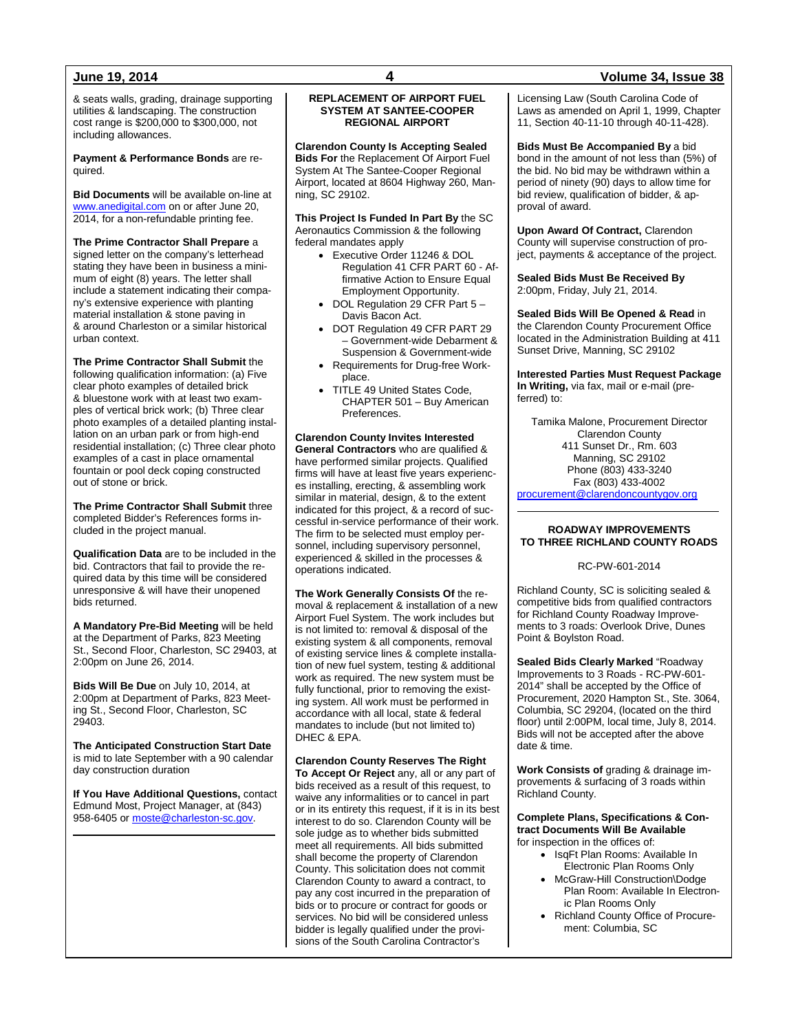& seats walls, grading, drainage supporting utilities & landscaping. The construction cost range is \$200,000 to \$300,000, not including allowances.

**Payment & Performance Bonds** are required.

**Bid Documents** will be available on-line at [www.anedigital.com](http://www.anedigital.com/) on or after June 20, 2014, for a non-refundable printing fee.

**The Prime Contractor Shall Prepare** a signed letter on the company's letterhead stating they have been in business a minimum of eight (8) years. The letter shall include a statement indicating their company's extensive experience with planting material installation & stone paving in & around Charleston or a similar historical urban context.

**The Prime Contractor Shall Submit** the following qualification information: (a) Five clear photo examples of detailed brick & bluestone work with at least two examples of vertical brick work; (b) Three clear photo examples of a detailed planting installation on an urban park or from high-end residential installation; (c) Three clear photo examples of a cast in place ornamental fountain or pool deck coping constructed out of stone or brick.

**The Prime Contractor Shall Submit** three completed Bidder's References forms included in the project manual.

**Qualification Data** are to be included in the bid. Contractors that fail to provide the required data by this time will be considered unresponsive & will have their unopened bids returned.

**A Mandatory Pre-Bid Meeting** will be held at the Department of Parks, 823 Meeting St., Second Floor, Charleston, SC 29403, at 2:00pm on June 26, 2014.

**Bids Will Be Due** on July 10, 2014, at 2:00pm at Department of Parks, 823 Meeting St., Second Floor, Charleston, SC 29403.

**The Anticipated Construction Start Date** is mid to late September with a 90 calendar day construction duration

**If You Have Additional Questions,** contact Edmund Most, Project Manager, at (843) 958-6405 o[r moste@charleston-sc.gov.](mailto:moste@charleston-sc.gov)

#### **REPLACEMENT OF AIRPORT FUEL SYSTEM AT SANTEE-COOPER REGIONAL AIRPORT**

**Clarendon County Is Accepting Sealed Bids For** the Replacement Of Airport Fuel System At The Santee-Cooper Regional Airport, located at 8604 Highway 260, Manning, SC 29102.

**This Project Is Funded In Part By** the SC Aeronautics Commission & the following federal mandates apply

- Executive Order 11246 & DOL Regulation 41 CFR PART 60 - Affirmative Action to Ensure Equal Employment Opportunity.
- DOL Regulation 29 CFR Part 5 Davis Bacon Act.
- DOT Regulation 49 CFR PART 29 – Government-wide Debarment & Suspension & Government-wide
- Requirements for Drug-free Workplace.
- TITLE 49 United States Code, CHAPTER 501 – Buy American Preferences.

**Clarendon County Invites Interested General Contractors** who are qualified & have performed similar projects. Qualified

firms will have at least five years experiences installing, erecting, & assembling work similar in material, design, & to the extent indicated for this project, & a record of successful in-service performance of their work. The firm to be selected must employ personnel, including supervisory personnel, experienced & skilled in the processes & operations indicated.

**The Work Generally Consists Of** the removal & replacement & installation of a new Airport Fuel System. The work includes but is not limited to: removal & disposal of the existing system & all components, removal of existing service lines & complete installation of new fuel system, testing & additional work as required. The new system must be fully functional, prior to removing the existing system. All work must be performed in accordance with all local, state & federal mandates to include (but not limited to) DHEC & EPA.

#### **Clarendon County Reserves The Right**

**To Accept Or Reject** any, all or any part of bids received as a result of this request, to waive any informalities or to cancel in part or in its entirety this request, if it is in its best interest to do so. Clarendon County will be sole judge as to whether bids submitted meet all requirements. All bids submitted shall become the property of Clarendon County. This solicitation does not commit Clarendon County to award a contract, to pay any cost incurred in the preparation of bids or to procure or contract for goods or services. No bid will be considered unless bidder is legally qualified under the provisions of the South Carolina Contractor's

Licensing Law (South Carolina Code of Laws as amended on April 1, 1999, Chapter 11, Section 40-11-10 through 40-11-428).

**Bids Must Be Accompanied By** a bid bond in the amount of not less than (5%) of the bid. No bid may be withdrawn within a period of ninety (90) days to allow time for bid review, qualification of bidder, & approval of award.

**Upon Award Of Contract,** Clarendon County will supervise construction of project, payments & acceptance of the project.

**Sealed Bids Must Be Received By** 2:00pm, Friday, July 21, 2014.

**Sealed Bids Will Be Opened & Read** in the Clarendon County Procurement Office located in the Administration Building at 411 Sunset Drive, Manning, SC 29102

**Interested Parties Must Request Package In Writing,** via fax, mail or e-mail (preferred) to:

Tamika Malone, Procurement Director Clarendon County 411 Sunset Dr., Rm. 603 Manning, SC 29102 Phone (803) 433-3240 Fax (803) 433-4002 [procurement@clarendoncountygov.org](mailto:procurement@clarendoncountygov.org)

#### **ROADWAY IMPROVEMENTS TO THREE RICHLAND COUNTY ROADS**

RC-PW-601-2014

Richland County, SC is soliciting sealed & competitive bids from qualified contractors for Richland County Roadway Improvements to 3 roads: Overlook Drive, Dunes Point & Boylston Road.

**Sealed Bids Clearly Marked** "Roadway Improvements to 3 Roads - RC-PW-601- 2014" shall be accepted by the Office of Procurement, 2020 Hampton St., Ste. 3064, Columbia, SC 29204, (located on the third floor) until 2:00PM, local time, July 8, 2014. Bids will not be accepted after the above date & time.

**Work Consists of** grading & drainage improvements & surfacing of 3 roads within Richland County.

**Complete Plans, Specifications & Contract Documents Will Be Available** for inspection in the offices of:

- IsqFt Plan Rooms: Available In Electronic Plan Rooms Only
- McGraw-Hill Construction\Dodge Plan Room: Available In Electronic Plan Rooms Only
- Richland County Office of Procurement: Columbia, SC

### **June 19, 2014 4 Volume 34, Issue 38**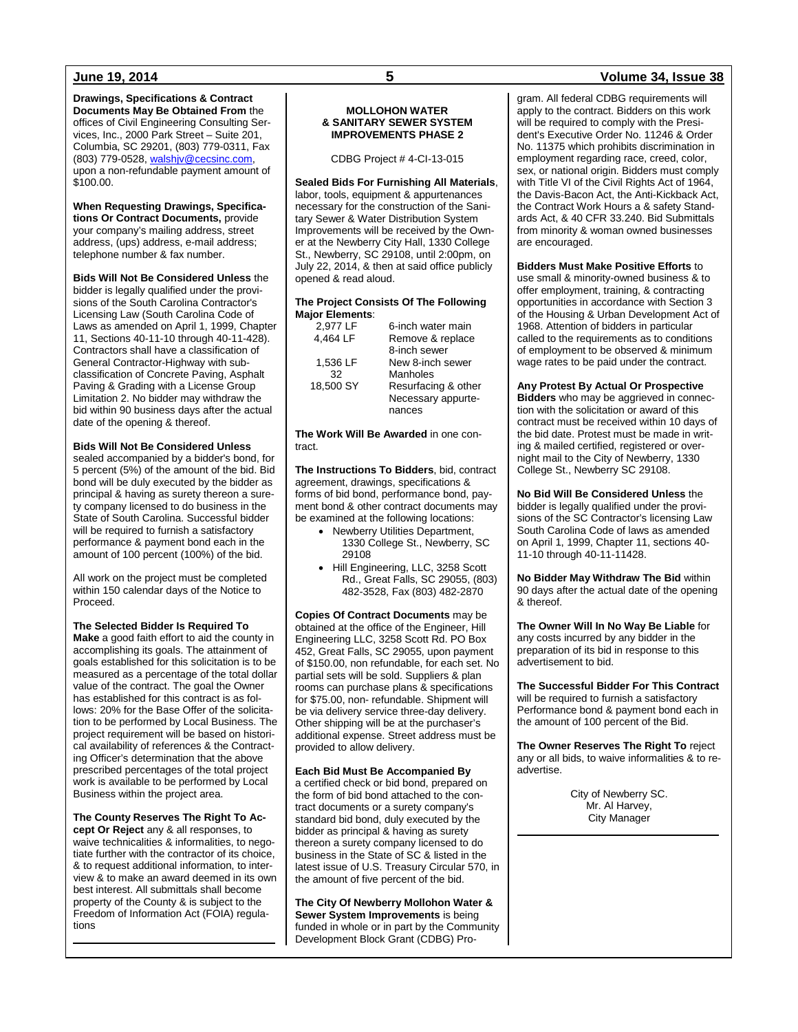**Drawings, Specifications & Contract Documents May Be Obtained From** the offices of Civil Engineering Consulting Services, Inc., 2000 Park Street – Suite 201, Columbia, SC 29201, (803) 779-0311, Fax (803) 779-0528, [walshjv@cecsinc.com,](mailto:walshjv@cecsinc.com)  upon a non-refundable payment amount of \$100.00.

**When Requesting Drawings, Specifications Or Contract Documents,** provide your company's mailing address, street address, (ups) address, e-mail address; telephone number & fax number.

**Bids Will Not Be Considered Unless** the bidder is legally qualified under the provisions of the South Carolina Contractor's Licensing Law (South Carolina Code of Laws as amended on April 1, 1999, Chapter 11, Sections 40-11-10 through 40-11-428). Contractors shall have a classification of General Contractor-Highway with subclassification of Concrete Paving, Asphalt Paving & Grading with a License Group Limitation 2. No bidder may withdraw the bid within 90 business days after the actual date of the opening & thereof.

#### **Bids Will Not Be Considered Unless**

sealed accompanied by a bidder's bond, for 5 percent (5%) of the amount of the bid. Bid bond will be duly executed by the bidder as principal & having as surety thereon a surety company licensed to do business in the State of South Carolina. Successful bidder will be required to furnish a satisfactory performance & payment bond each in the amount of 100 percent (100%) of the bid.

All work on the project must be completed within 150 calendar days of the Notice to Proceed.

**The Selected Bidder Is Required To** 

**Make** a good faith effort to aid the county in accomplishing its goals. The attainment of goals established for this solicitation is to be measured as a percentage of the total dollar value of the contract. The goal the Owner has established for this contract is as follows: 20% for the Base Offer of the solicitation to be performed by Local Business. The project requirement will be based on historical availability of references & the Contracting Officer's determination that the above prescribed percentages of the total project work is available to be performed by Local Business within the project area.

### **The County Reserves The Right To Ac-**

**cept Or Reject** any & all responses, to waive technicalities & informalities, to negotiate further with the contractor of its choice, & to request additional information, to interview & to make an award deemed in its own best interest. All submittals shall become property of the County & is subject to the Freedom of Information Act (FOIA) regulations

#### **MOLLOHON WATER & SANITARY SEWER SYSTEM IMPROVEMENTS PHASE 2**

CDBG Project # 4-CI-13-015

#### **Sealed Bids For Furnishing All Materials**,

labor, tools, equipment & appurtenances necessary for the construction of the Sanitary Sewer & Water Distribution System Improvements will be received by the Owner at the Newberry City Hall, 1330 College St., Newberry, SC 29108, until 2:00pm, on July 22, 2014, & then at said office publicly opened & read aloud.

#### **The Project Consists Of The Following Major Elements**:

| 2,977 LF  | 6-inch water main   |
|-----------|---------------------|
| 4.464 LF  | Remove & replace    |
|           | 8-inch sewer        |
| 1,536 LF  | New 8-inch sewer    |
| 32        | Manholes            |
| 18,500 SY | Resurfacing & other |
|           | Necessary appurte-  |
|           | nances              |

**The Work Will Be Awarded** in one contract.

**The Instructions To Bidders**, bid, contract agreement, drawings, specifications & forms of bid bond, performance bond, payment bond & other contract documents may be examined at the following locations:

- Newberry Utilities Department, 1330 College St., Newberry, SC 29108
- Hill Engineering, LLC, 3258 Scott Rd., Great Falls, SC 29055, (803) 482-3528, Fax (803) 482-2870

**Copies Of Contract Documents** may be obtained at the office of the Engineer, Hill Engineering LLC, 3258 Scott Rd. PO Box 452, Great Falls, SC 29055, upon payment of \$150.00, non refundable, for each set. No partial sets will be sold. Suppliers & plan rooms can purchase plans & specifications for \$75.00, non- refundable. Shipment will be via delivery service three-day delivery. Other shipping will be at the purchaser's additional expense. Street address must be provided to allow delivery.

#### **Each Bid Must Be Accompanied By**

a certified check or bid bond, prepared on the form of bid bond attached to the contract documents or a surety company's standard bid bond, duly executed by the bidder as principal & having as surety thereon a surety company licensed to do business in the State of SC & listed in the latest issue of U.S. Treasury Circular 570, in the amount of five percent of the bid.

**The City Of Newberry Mollohon Water & Sewer System Improvements** is being funded in whole or in part by the Community Development Block Grant (CDBG) Pro-

### **June 19, 2014 5 Volume 34, Issue 38**

gram. All federal CDBG requirements will apply to the contract. Bidders on this work will be required to comply with the President's Executive Order No. 11246 & Order No. 11375 which prohibits discrimination in employment regarding race, creed, color, sex, or national origin. Bidders must comply with Title VI of the Civil Rights Act of 1964, the Davis-Bacon Act, the Anti-Kickback Act, the Contract Work Hours a & safety Standards Act, & 40 CFR 33.240. Bid Submittals from minority & woman owned businesses are encouraged.

**Bidders Must Make Positive Efforts** to use small & minority-owned business & to offer employment, training, & contracting opportunities in accordance with Section 3 of the Housing & Urban Development Act of 1968. Attention of bidders in particular called to the requirements as to conditions of employment to be observed & minimum wage rates to be paid under the contract.

**Any Protest By Actual Or Prospective Bidders** who may be aggrieved in connection with the solicitation or award of this contract must be received within 10 days of the bid date. Protest must be made in writing & mailed certified, registered or overnight mail to the City of Newberry, 1330 College St., Newberry SC 29108.

**No Bid Will Be Considered Unless** the bidder is legally qualified under the provisions of the SC Contractor's licensing Law South Carolina Code of laws as amended on April 1, 1999, Chapter 11, sections 40- 11-10 through 40-11-11428.

**No Bidder May Withdraw The Bid** within 90 days after the actual date of the opening & thereof.

**The Owner Will In No Way Be Liable** for any costs incurred by any bidder in the preparation of its bid in response to this advertisement to bid.

**The Successful Bidder For This Contract** will be required to furnish a satisfactory Performance bond & payment bond each in the amount of 100 percent of the Bid.

**The Owner Reserves The Right To** reject any or all bids, to waive informalities & to readvertise.

> City of Newberry SC. Mr. Al Harvey, City Manager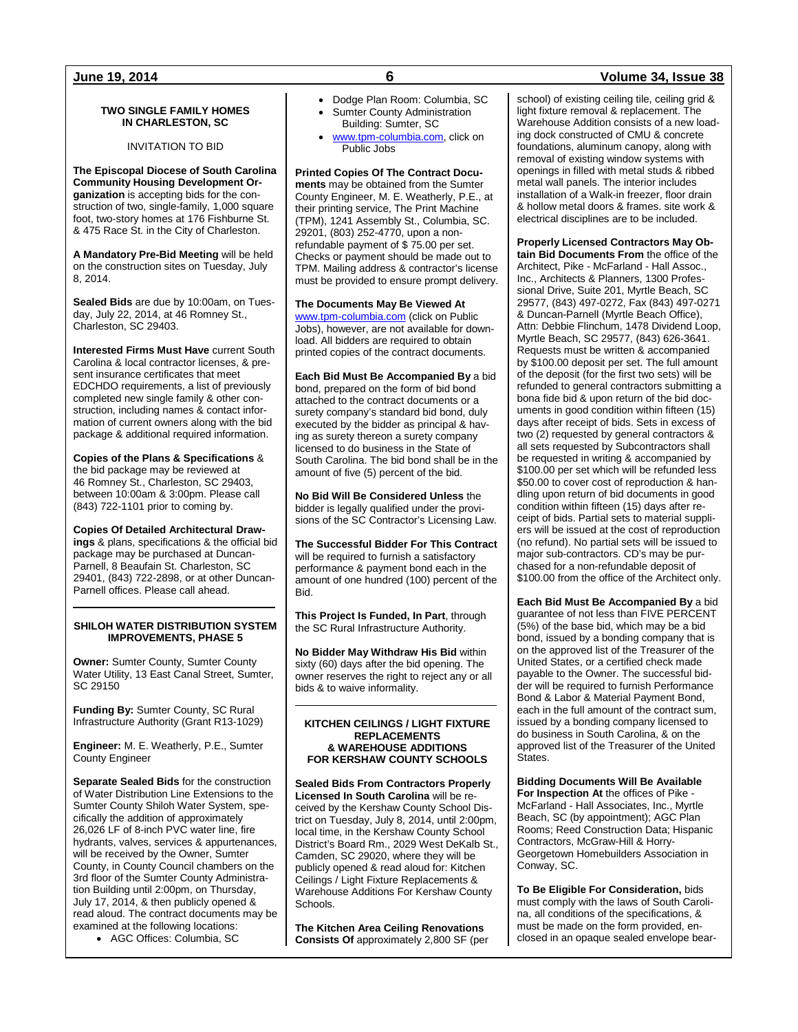#### **TWO SINGLE FAMILY HOMES IN CHARLESTON, SC**

INVITATION TO BID

**The Episcopal Diocese of South Carolina Community Housing Development Organization** is accepting bids for the construction of two, single-family, 1,000 square foot, two-story homes at 176 Fishburne St. & 475 Race St. in the City of Charleston.

**A Mandatory Pre-Bid Meeting** will be held on the construction sites on Tuesday, July 8, 2014.

**Sealed Bids** are due by 10:00am, on Tuesday, July 22, 2014, at 46 Romney St., Charleston, SC 29403.

**Interested Firms Must Have** current South Carolina & local contractor licenses, & present insurance certificates that meet EDCHDO requirements, a list of previously completed new single family & other construction, including names & contact information of current owners along with the bid package & additional required information.

**Copies of the Plans & Specifications** & the bid package may be reviewed at 46 Romney St., Charleston, SC 29403, between 10:00am & 3:00pm. Please call (843) 722-1101 prior to coming by.

**Copies Of Detailed Architectural Drawings** & plans, specifications & the official bid package may be purchased at Duncan-Parnell, 8 Beaufain St. Charleston, SC 29401, (843) 722-2898, or at other Duncan-Parnell offices. Please call ahead.

#### **SHILOH WATER DISTRIBUTION SYSTEM IMPROVEMENTS, PHASE 5**

**Owner:** Sumter County, Sumter County Water Utility, 13 East Canal Street, Sumter, SC 29150

**Funding By:** Sumter County, SC Rural Infrastructure Authority (Grant R13-1029)

**Engineer:** M. E. Weatherly, P.E., Sumter County Engineer

**Separate Sealed Bids** for the construction of Water Distribution Line Extensions to the Sumter County Shiloh Water System, specifically the addition of approximately 26,026 LF of 8-inch PVC water line, fire hydrants, valves, services & appurtenances, will be received by the Owner, Sumter County, in County Council chambers on the 3rd floor of the Sumter County Administration Building until 2:00pm, on Thursday, July 17, 2014, & then publicly opened & read aloud. The contract documents may be examined at the following locations:

• AGC Offices: Columbia, SC

- Dodge Plan Room: Columbia, SC Sumter County Administration
- Building: Sumter, SC [www.tpm-columbia.com,](http://www.tpm-columbia.com/) click on
	- Public Jobs

**Printed Copies Of The Contract Documents** may be obtained from the Sumter County Engineer, M. E. Weatherly, P.E., at their printing service, The Print Machine (TPM), 1241 Assembly St., Columbia, SC. 29201, (803) 252-4770, upon a nonrefundable payment of \$ 75.00 per set. Checks or payment should be made out to TPM. Mailing address & contractor's license must be provided to ensure prompt delivery.

**The Documents May Be Viewed At** [www.tpm-columbia.com](http://www.tpm-columbia.com/) (click on Public Jobs), however, are not available for download. All bidders are required to obtain printed copies of the contract documents.

**Each Bid Must Be Accompanied By** a bid bond, prepared on the form of bid bond attached to the contract documents or a surety company's standard bid bond, duly executed by the bidder as principal & having as surety thereon a surety company licensed to do business in the State of South Carolina. The bid bond shall be in the amount of five (5) percent of the bid.

**No Bid Will Be Considered Unless** the bidder is legally qualified under the provisions of the SC Contractor's Licensing Law.

**The Successful Bidder For This Contract** will be required to furnish a satisfactory performance & payment bond each in the amount of one hundred (100) percent of the Bid.

**This Project Is Funded, In Part**, through the SC Rural Infrastructure Authority.

**No Bidder May Withdraw His Bid** within sixty (60) days after the bid opening. The owner reserves the right to reject any or all bids & to waive informality.

#### **KITCHEN CEILINGS / LIGHT FIXTURE REPLACEMENTS & WAREHOUSE ADDITIONS FOR KERSHAW COUNTY SCHOOLS**

**Sealed Bids From Contractors Properly Licensed In South Carolina** will be received by the Kershaw County School District on Tuesday, July 8, 2014, until 2:00pm, local time, in the Kershaw County School District's Board Rm., 2029 West DeKalb St., Camden, SC 29020, where they will be publicly opened & read aloud for: Kitchen Ceilings / Light Fixture Replacements & Warehouse Additions For Kershaw County Schools.

**The Kitchen Area Ceiling Renovations Consists Of** approximately 2,800 SF (per

### **June 19, 2014 6 Volume 34, Issue 38**

school) of existing ceiling tile, ceiling grid & light fixture removal & replacement. The Warehouse Addition consists of a new loading dock constructed of CMU & concrete foundations, aluminum canopy, along with removal of existing window systems with openings in filled with metal studs & ribbed metal wall panels. The interior includes installation of a Walk-in freezer, floor drain & hollow metal doors & frames. site work & electrical disciplines are to be included.

**Properly Licensed Contractors May Obtain Bid Documents From** the office of the

Architect, Pike - McFarland - Hall Assoc., Inc., Architects & Planners, 1300 Professional Drive, Suite 201, Myrtle Beach, SC 29577, (843) 497-0272, Fax (843) 497-0271 & Duncan-Parnell (Myrtle Beach Office), Attn: Debbie Flinchum, 1478 Dividend Loop, Myrtle Beach, SC 29577, (843) 626-3641. Requests must be written & accompanied by \$100.00 deposit per set. The full amount of the deposit (for the first two sets) will be refunded to general contractors submitting a bona fide bid & upon return of the bid documents in good condition within fifteen (15) days after receipt of bids. Sets in excess of two (2) requested by general contractors & all sets requested by Subcontractors shall be requested in writing & accompanied by \$100.00 per set which will be refunded less \$50.00 to cover cost of reproduction & handling upon return of bid documents in good condition within fifteen (15) days after receipt of bids. Partial sets to material suppliers will be issued at the cost of reproduction (no refund). No partial sets will be issued to major sub-contractors. CD's may be purchased for a non-refundable deposit of \$100.00 from the office of the Architect only.

**Each Bid Must Be Accompanied By** a bid guarantee of not less than FIVE PERCENT (5%) of the base bid, which may be a bid bond, issued by a bonding company that is on the approved list of the Treasurer of the United States, or a certified check made payable to the Owner. The successful bidder will be required to furnish Performance Bond & Labor & Material Payment Bond, each in the full amount of the contract sum, issued by a bonding company licensed to do business in South Carolina, & on the approved list of the Treasurer of the United **States** 

**Bidding Documents Will Be Available For Inspection At** the offices of Pike - McFarland - Hall Associates, Inc., Myrtle Beach, SC (by appointment); AGC Plan Rooms; Reed Construction Data; Hispanic Contractors, McGraw-Hill & Horry-Georgetown Homebuilders Association in Conway, SC.

**To Be Eligible For Consideration,** bids must comply with the laws of South Carolina, all conditions of the specifications, & must be made on the form provided, enclosed in an opaque sealed envelope bear-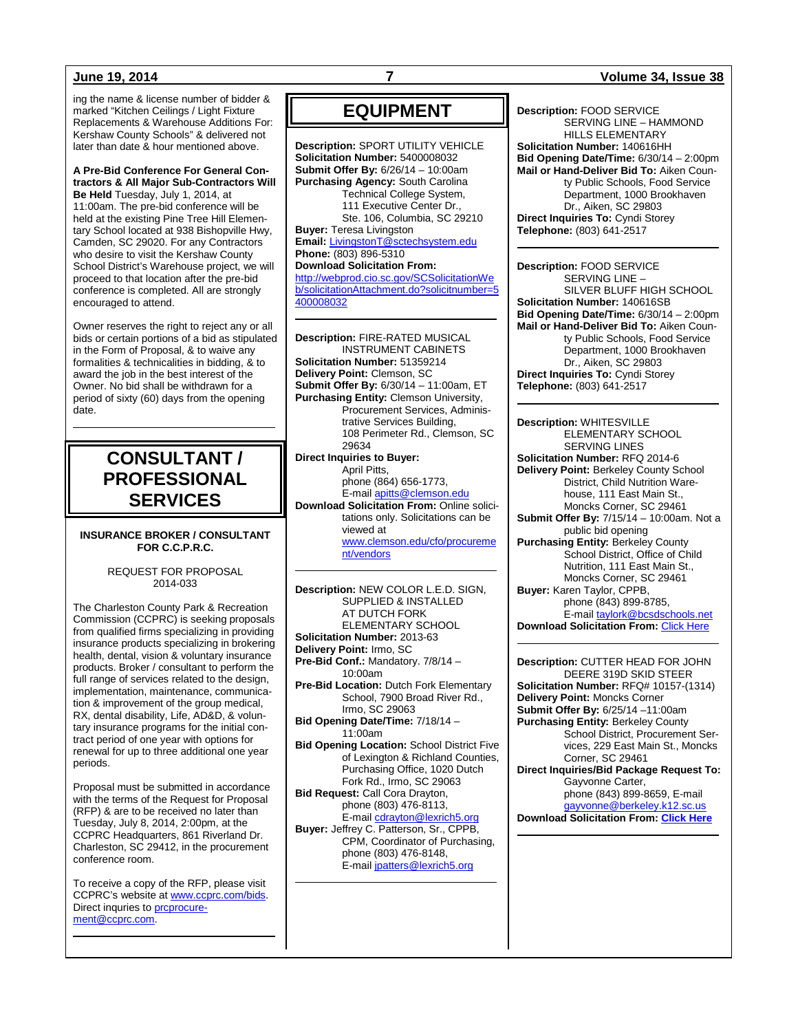ing the name & license number of bidder & marked "Kitchen Ceilings / Light Fixture Replacements & Warehouse Additions For: Kershaw County Schools" & delivered not later than date & hour mentioned above.

### **A Pre-Bid Conference For General Contractors & All Major Sub-Contractors Will**

**Be Held** Tuesday, July 1, 2014, at 11:00am. The pre-bid conference will be held at the existing Pine Tree Hill Elementary School located at 938 Bishopville Hwy, Camden, SC 29020. For any Contractors who desire to visit the Kershaw County School District's Warehouse project, we will proceed to that location after the pre-bid conference is completed. All are strongly encouraged to attend.

Owner reserves the right to reject any or all bids or certain portions of a bid as stipulated in the Form of Proposal, & to waive any formalities & technicalities in bidding, & to award the job in the best interest of the Owner. No bid shall be withdrawn for a period of sixty (60) days from the opening date.

## **CONSULTANT / PROFESSIONAL SERVICES**

#### **INSURANCE BROKER / CONSULTANT FOR C.C.P.R.C.**

#### REQUEST FOR PROPOSAL 2014-033

The Charleston County Park & Recreation Commission (CCPRC) is seeking proposals from qualified firms specializing in providing insurance products specializing in brokering health, dental, vision & voluntary insurance products. Broker / consultant to perform the full range of services related to the design, implementation, maintenance, communication & improvement of the group medical, RX, dental disability, Life, AD&D, & voluntary insurance programs for the initial contract period of one year with options for renewal for up to three additional one year periods.

Proposal must be submitted in accordance with the terms of the Request for Proposal (RFP) & are to be received no later than Tuesday, July 8, 2014, 2:00pm, at the CCPRC Headquarters, 861 Riverland Dr. Charleston, SC 29412, in the procurement conference room.

To receive a copy of the RFP, please visit CCPRC's website at [www.ccprc.com/bids.](http://www.ccprc.com/bids) Direct inquries to [prcprocure](mailto:prcprocurement@ccprc.com)[ment@ccprc.com.](mailto:prcprocurement@ccprc.com)

## **EQUIPMENT**

**Description:** SPORT UTILITY VEHICLE **Solicitation Number:** 5400008032 **Submit Offer By:** 6/26/14 – 10:00am **Purchasing Agency:** South Carolina Technical College System, 111 Executive Center Dr., Ste. 106, Columbia, SC 29210 **Buyer:** Teresa Livingston **Email:** [LivingstonT@sctechsystem.edu](mailto:LivingstonT@sctechsystem.edu) **Phone:** (803) 896-5310 **Download Solicitation From:** [http://webprod.cio.sc.gov/SCSolicitationWe](http://webprod.cio.sc.gov/SCSolicitationWeb/solicitationAttachment.do?solicitnumber=5400008032) [b/solicitationAttachment.do?solicitnumber=5](http://webprod.cio.sc.gov/SCSolicitationWeb/solicitationAttachment.do?solicitnumber=5400008032) [400008032](http://webprod.cio.sc.gov/SCSolicitationWeb/solicitationAttachment.do?solicitnumber=5400008032)

**Description:** FIRE-RATED MUSICAL INSTRUMENT CABINETS **Solicitation Number:** 51359214 **Delivery Point:** Clemson, SC **Submit Offer By:** 6/30/14 – 11:00am, ET **Purchasing Entity:** Clemson University, Procurement Services, Administrative Services Building, 108 Perimeter Rd., Clemson, SC 29634 **Direct Inquiries to Buyer:** April Pitts, phone (864) 656-1773,

E-mai[l apitts@clemson.edu](mailto:apitts@clemson.edu) **Download Solicitation From:** Online solicitations only. Solicitations can be viewed at [www.clemson.edu/cfo/procureme](http://www.clemson.edu/cfo/procurement/vendors) [nt/vendors](http://www.clemson.edu/cfo/procurement/vendors)

**Description:** NEW COLOR L.E.D. SIGN, SUPPLIED & INSTALLED AT DUTCH FORK ELEMENTARY SCHOOL **Solicitation Number:** 2013-63 **Delivery Point:** Irmo, SC **Pre-Bid Conf.:** Mandatory. 7/8/14 – 10:00am **Pre-Bid Location:** Dutch Fork Elementary School, 7900 Broad River Rd., Irmo, SC 29063 **Bid Opening Date/Time:** 7/18/14 – 11:00am **Bid Opening Location:** School District Five of Lexington & Richland Counties, Purchasing Office, 1020 Dutch Fork Rd., Irmo, SC 29063 **Bid Request:** Call Cora Drayton, phone (803) 476-8113, E-mai[l cdrayton@lexrich5.org](mailto:cdrayton@lexrich5.org) **Buyer:** Jeffrey C. Patterson, Sr., CPPB, CPM, Coordinator of Purchasing, phone (803) 476-8148, E-mai[l jpatters@lexrich5.org](mailto:jpatters@lexrich5.org)

**Description:** FOOD SERVICE SERVING LINE – HAMMOND HILLS ELEMENTARY **Solicitation Number:** 140616HH **Bid Opening Date/Time:** 6/30/14 – 2:00pm **Mail or Hand-Deliver Bid To:** Aiken County Public Schools, Food Service Department, 1000 Brookhaven Dr., Aiken, SC 29803 **Direct Inquiries To:** Cyndi Storey **Telephone:** (803) 641-2517

**Description:** FOOD SERVICE SERVING LINE – SILVER BLUFF HIGH SCHOOL **Solicitation Number:** 140616SB **Bid Opening Date/Time:** 6/30/14 – 2:00pm **Mail or Hand-Deliver Bid To:** Aiken County Public Schools, Food Service Department, 1000 Brookhaven Dr., Aiken, SC 29803 **Direct Inquiries To:** Cyndi Storey **Telephone:** (803) 641-2517

**Description:** WHITESVILLE ELEMENTARY SCHOOL SERVING LINES **Solicitation Number:** RFQ 2014-6 **Delivery Point:** Berkeley County School District, Child Nutrition Warehouse, 111 East Main St., Moncks Corner, SC 29461 **Submit Offer By:** 7/15/14 – 10:00am. Not a public bid opening **Purchasing Entity:** Berkeley County School District, Office of Child Nutrition, 111 East Main St., Moncks Corner, SC 29461 **Buyer:** Karen Taylor, CPPB, phone (843) 899-8785, E-mai[l taylork@bcsdschools.net](mailto:taylork@bcsdschools.net)

**Download Solicitation From: [Click Here](http://www.berkeley.k12.sc.us/departments.cfm?subpage=54016)** 

**Description:** CUTTER HEAD FOR JOHN DEERE 319D SKID STEER **Solicitation Number:** RFQ# 10157-(1314) **Delivery Point:** Moncks Corner **Submit Offer By:** 6/25/14 –11:00am **Purchasing Entity:** Berkeley County School District, Procurement Services, 229 East Main St., Moncks Corner, SC 29461 **Direct Inquiries/Bid Package Request To:** Gayvonne Carter, phone (843) 899-8659, E-mail [gayvonne@berkeley.k12.sc.us](mailto:gayvonne@berkeley.k12.sc.us)

**Download Solicitation From: [Click Here](http://www.berkeley.k12.sc.us/departments.cfm?subpage=54016)**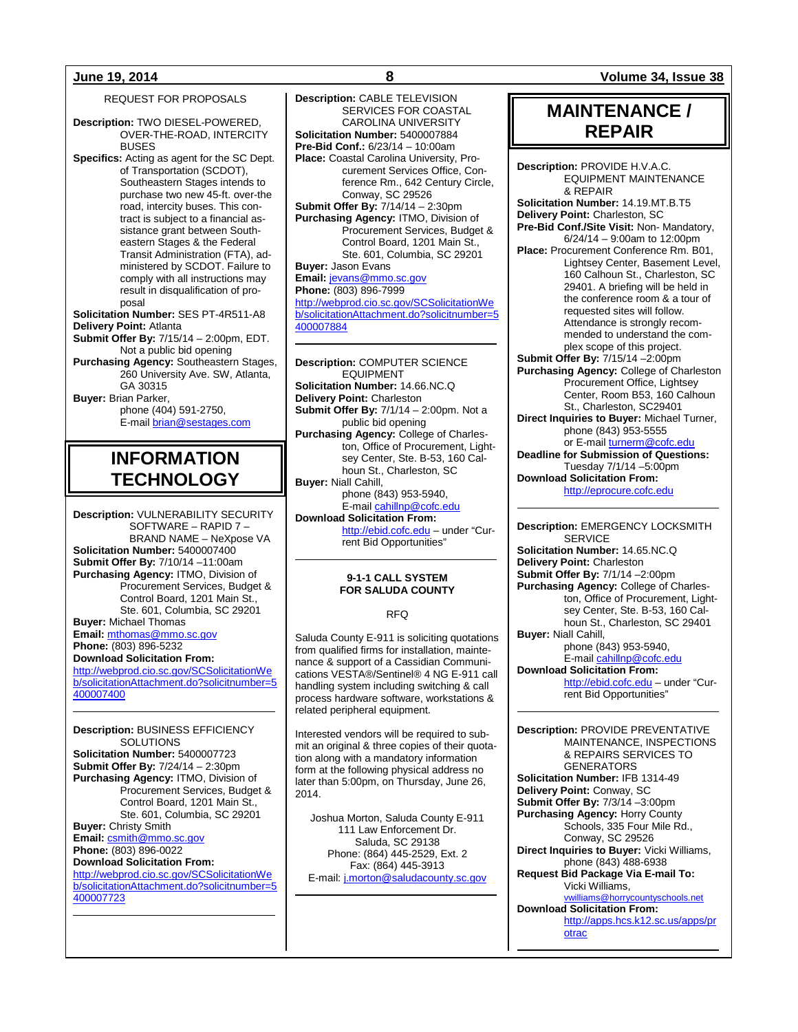REQUEST FOR PROPOSALS

- **Description:** TWO DIESEL-POWERED, OVER-THE-ROAD, INTERCITY BUSES
- **Specifics:** Acting as agent for the SC Dept. of Transportation (SCDOT), Southeastern Stages intends to purchase two new 45-ft. over-the road, intercity buses. This contract is subject to a financial assistance grant between Southeastern Stages & the Federal Transit Administration (FTA), administered by SCDOT. Failure to comply with all instructions may result in disqualification of proposal
- **Solicitation Number:** SES PT-4R511-A8 **Delivery Point:** Atlanta
- **Submit Offer By:** 7/15/14 2:00pm, EDT. Not a public bid opening
- **Purchasing Agency:** Southeastern Stages, 260 University Ave. SW, Atlanta, GA 30315

**Buyer:** Brian Parker,

phone (404) 591-2750, E-mail [brian@sestages.com](mailto:brian@sestages.com)

## **INFORMATION TECHNOLOGY**

**Description:** VULNERABILITY SECURITY SOFTWARE – RAPID 7 – BRAND NAME – NeXpose VA **Solicitation Number:** 5400007400 **Submit Offer By:** 7/10/14 –11:00am **Purchasing Agency:** ITMO, Division of Procurement Services, Budget & Control Board, 1201 Main St., Ste. 601, Columbia, SC 29201 **Buyer:** Michael Thomas **Email:** [mthomas@mmo.sc.gov](mailto:mthomas@mmo.sc.gov) **Phone:** (803) 896-5232

**Download Solicitation From:**

[http://webprod.cio.sc.gov/SCSolicitationWe](http://webprod.cio.sc.gov/SCSolicitationWeb/solicitationAttachment.do?solicitnumber=5400007400) [b/solicitationAttachment.do?solicitnumber=5](http://webprod.cio.sc.gov/SCSolicitationWeb/solicitationAttachment.do?solicitnumber=5400007400) [400007400](http://webprod.cio.sc.gov/SCSolicitationWeb/solicitationAttachment.do?solicitnumber=5400007400)

**Description:** BUSINESS EFFICIENCY **SOLUTIONS Solicitation Number:** 5400007723 **Submit Offer By:** 7/24/14 – 2:30pm **Purchasing Agency:** ITMO, Division of Procurement Services, Budget & Control Board, 1201 Main St., Ste. 601, Columbia, SC 29201 **Buyer:** Christy Smith **Email:** [csmith@mmo.sc.gov](mailto:csmith@mmo.sc.gov) **Phone:** (803) 896-0022 **Download Solicitation From:** [http://webprod.cio.sc.gov/SCSolicitationWe](http://webprod.cio.sc.gov/SCSolicitationWeb/solicitationAttachment.do?solicitnumber=5400007723) [b/solicitationAttachment.do?solicitnumber=5](http://webprod.cio.sc.gov/SCSolicitationWeb/solicitationAttachment.do?solicitnumber=5400007723) [400007723](http://webprod.cio.sc.gov/SCSolicitationWeb/solicitationAttachment.do?solicitnumber=5400007723)

**Description:** CABLE TELEVISION SERVICES FOR COASTAL CAROLINA UNIVERSITY **Solicitation Number:** 5400007884 **Pre-Bid Conf.:** 6/23/14 – 10:00am **Place:** Coastal Carolina University, Procurement Services Office, Conference Rm., 642 Century Circle, Conway, SC 29526 **Submit Offer By:** 7/14/14 – 2:30pm **Purchasing Agency:** ITMO, Division of Procurement Services, Budget & Control Board, 1201 Main St., Ste. 601, Columbia, SC 29201 **Buyer:** Jason Evans **Email:** [jevans@mmo.sc.gov](mailto:jevans@mmo.sc.gov) **Phone:** (803) 896-7999 [http://webprod.cio.sc.gov/SCSolicitationWe](http://webprod.cio.sc.gov/SCSolicitationWeb/solicitationAttachment.do?solicitnumber=5400007884) [b/solicitationAttachment.do?solicitnumber=5](http://webprod.cio.sc.gov/SCSolicitationWeb/solicitationAttachment.do?solicitnumber=5400007884) [400007884](http://webprod.cio.sc.gov/SCSolicitationWeb/solicitationAttachment.do?solicitnumber=5400007884)

**Description:** COMPUTER SCIENCE EQUIPMENT **Solicitation Number:** 14.66.NC.Q **Delivery Point:** Charleston **Submit Offer By:** 7/1/14 – 2:00pm. Not a public bid opening **Purchasing Agency:** College of Charleston, Office of Procurement, Lightsey Center, Ste. B-53, 160 Calhoun St., Charleston, SC **Buyer:** Niall Cahill, phone (843) 953-5940, E-mai[l cahillnp@cofc.edu](mailto:cahillnp@cofc.edu) **Download Solicitation From:** [http://ebid.cofc.edu](http://ebid.cofc.edu/) – under "Cur-

## rent Bid Opportunities"

#### **9-1-1 CALL SYSTEM FOR SALUDA COUNTY**

#### RFQ

Saluda County E-911 is soliciting quotations from qualified firms for installation, maintenance & support of a Cassidian Communications VESTA®/Sentinel® 4 NG E-911 call handling system including switching & call process hardware software, workstations & related peripheral equipment.

Interested vendors will be required to submit an original & three copies of their quotation along with a mandatory information form at the following physical address no later than 5:00pm, on Thursday, June 26, 2014.

Joshua Morton, Saluda County E-911 111 Law Enforcement Dr. Saluda, SC 29138 Phone: (864) 445-2529, Ext. 2 Fax: (864) 445-3913 E-mail[: j.morton@saludacounty.sc.gov](mailto:j.morton@saludacounty.sc.gov)

**June 19, 2014 8 Volume 34, Issue 38**

## **MAINTENANCE / REPAIR**

**Description:** PROVIDE H.V.A.C. EQUIPMENT MAINTENANCE & REPAIR **Solicitation Number:** 14.19.MT.B.T5 **Delivery Point:** Charleston, SC **Pre-Bid Conf./Site Visit:** Non- Mandatory,  $6/24/14 - 9:00$ am to 12:00pm **Place:** Procurement Conference Rm. B01, Lightsey Center, Basement Level, 160 Calhoun St., Charleston, SC 29401. A briefing will be held in the conference room & a tour of requested sites will follow. Attendance is strongly recommended to understand the complex scope of this project. **Submit Offer By:** 7/15/14 –2:00pm **Purchasing Agency:** College of Charleston Procurement Office, Lightsey Center, Room B53, 160 Calhoun St., Charleston, SC29401 **Direct Inquiries to Buyer:** Michael Turner, phone (843) 953-5555 or E-mai[l turnerm@cofc.edu](mailto:turnerm@cofc.edu) **Deadline for Submission of Questions:** Tuesday 7/1/14 –5:00pm **Download Solicitation From:** [http://eprocure.cofc.edu](http://eprocure.cofc.edu/)

**Description:** EMERGENCY LOCKSMITH **SERVICE Solicitation Number:** 14.65.NC.Q **Delivery Point:** Charleston **Submit Offer By:** 7/1/14 –2:00pm **Purchasing Agency:** College of Charleston, Office of Procurement, Lightsey Center, Ste. B-53, 160 Calhoun St., Charleston, SC 29401 **Buyer:** Niall Cahill, phone (843) 953-5940, E-mai[l cahillnp@cofc.edu](mailto:cahillnp@cofc.edu) **Download Solicitation From:** [http://ebid.cofc.edu](http://ebid.cofc.edu/) – under "Current Bid Opportunities"

**Description:** PROVIDE PREVENTATIVE MAINTENANCE, INSPECTIONS & REPAIRS SERVICES TO GENERATORS **Solicitation Number:** IFB 1314-49 **Delivery Point:** Conway, SC **Submit Offer By:** 7/3/14 –3:00pm **Purchasing Agency:** Horry County Schools, 335 Four Mile Rd., Conway, SC 29526 **Direct Inquiries to Buyer:** Vicki Williams, phone (843) 488-6938 **Request Bid Package Via E-mail To:** Vicki Williams, [vwilliams@horrycountyschools.net](mailto:vwilliams@horrycountyschools.net) **Download Solicitation From:** [http://apps.hcs.k12.sc.us/apps/pr](http://apps.hcs.k12.sc.us/apps/protrac) [otrac](http://apps.hcs.k12.sc.us/apps/protrac)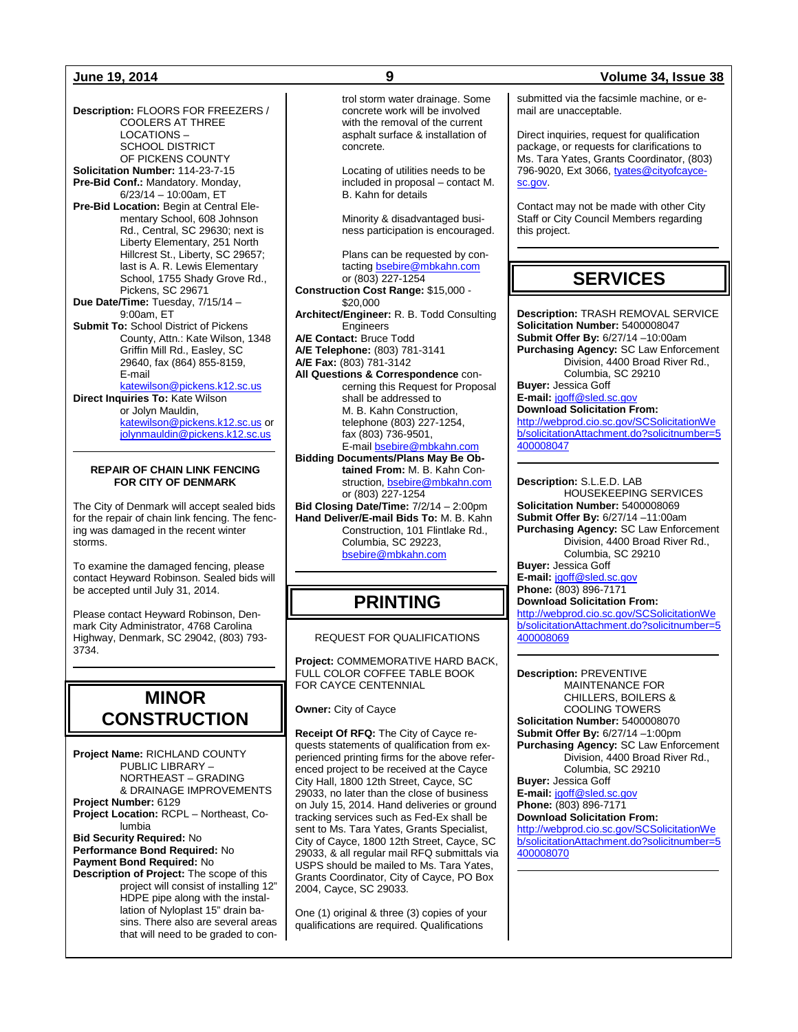**Description:** FLOORS FOR FREEZERS / COOLERS AT THREE LOCATIONS – SCHOOL DISTRICT OF PICKENS COUNTY **Solicitation Number:** 114-23-7-15 **Pre-Bid Conf.:** Mandatory. Monday, 6/23/14 – 10:00am, ET **Pre-Bid Location:** Begin at Central Elementary School, 608 Johnson Rd., Central, SC 29630; next is Liberty Elementary, 251 North Hillcrest St., Liberty, SC 29657; last is A. R. Lewis Elementary School, 1755 Shady Grove Rd., Pickens, SC 29671 **Due Date/Time:** Tuesday, 7/15/14 – 9:00am, ET **Submit To:** School District of Pickens County, Attn.: Kate Wilson, 1348 Griffin Mill Rd., Easley, SC 29640, fax (864) 855-8159, E-mail [katewilson@pickens.k12.sc.us](mailto:katewilson@pickens.k12.sc.us) **Direct Inquiries To:** Kate Wilson or Jolyn Mauldin, [katewilson@pickens.k12.sc.us](mailto:katewilson@pickens.k12.sc.us) or [jolynmauldin@pickens.k12.sc.us](mailto:jolynmauldin@pickens.k12.sc.us)

#### **REPAIR OF CHAIN LINK FENCING FOR CITY OF DENMARK**

The City of Denmark will accept sealed bids for the repair of chain link fencing. The fencing was damaged in the recent winter storms.

To examine the damaged fencing, please contact Heyward Robinson. Sealed bids will be accepted until July 31, 2014.

Please contact Heyward Robinson, Denmark City Administrator, 4768 Carolina Highway, Denmark, SC 29042, (803) 793- 3734.

## **MINOR CONSTRUCTION**

**Project Name:** RICHLAND COUNTY PUBLIC LIBRARY – NORTHEAST – GRADING & DRAINAGE IMPROVEMENTS **Project Number:** 6129 **Project Location:** RCPL – Northeast, Columbia **Bid Security Required:** No **Performance Bond Required:** No **Payment Bond Required:** No **Description of Project:** The scope of this project will consist of installing 12" HDPE pipe along with the installation of Nyloplast 15" drain basins. There also are several areas that will need to be graded to control storm water drainage. Some concrete work will be involved with the removal of the current asphalt surface & installation of concrete.

Locating of utilities needs to be included in proposal – contact M. B. Kahn for details

Minority & disadvantaged business participation is encouraged.

Plans can be requested by contactin[g bsebire@mbkahn.com](mailto:bsebire@mbkahn.com) or (803) 227-1254

**Construction Cost Range:** \$15,000 - \$20,000

**Architect/Engineer:** R. B. Todd Consulting Engineers

**A/E Contact:** Bruce Todd

**A/E Telephone:** (803) 781-3141

**A/E Fax:** (803) 781-3142

**All Questions & Correspondence** concerning this Request for Proposal shall be addressed to M. B. Kahn Construction, telephone (803) 227-1254, fax (803) 736-9501,

E-mai[l bsebire@mbkahn.com](mailto:bsebire@mbkahn.com) **Bidding Documents/Plans May Be Obtained From:** M. B. Kahn Construction[, bsebire@mbkahn.com](mailto:bsebire@mbkahn.com) or (803) 227-1254 **Bid Closing Date/Time:** 7/2/14 – 2:00pm

**Hand Deliver/E-mail Bids To:** M. B. Kahn Construction, 101 Flintlake Rd., Columbia, SC 29223, [bsebire@mbkahn.com](mailto:bsebire@mbkahn.com)

## **PRINTING**

### REQUEST FOR QUALIFICATIONS

**Project:** COMMEMORATIVE HARD BACK, FULL COLOR COFFEE TABLE BOOK FOR CAYCE CENTENNIAL

**Owner:** City of Cayce

**Receipt Of RFQ:** The City of Cayce requests statements of qualification from experienced printing firms for the above referenced project to be received at the Cayce City Hall, 1800 12th Street, Cayce, SC 29033, no later than the close of business on July 15, 2014. Hand deliveries or ground tracking services such as Fed-Ex shall be sent to Ms. Tara Yates, Grants Specialist, City of Cayce, 1800 12th Street, Cayce, SC 29033, & all regular mail RFQ submittals via USPS should be mailed to Ms. Tara Yates, Grants Coordinator, City of Cayce, PO Box 2004, Cayce, SC 29033.

One (1) original & three (3) copies of your qualifications are required. Qualifications

### **June 19, 2014 9 Volume 34, Issue 38**

submitted via the facsimle machine, or email are unacceptable.

Direct inquiries, request for qualification package, or requests for clarifications to Ms. Tara Yates, Grants Coordinator, (803) 796-9020, Ext 3066, [tyates@cityofcayce](mailto:tyates@cityofcayce-sc.gov)[sc.gov.](mailto:tyates@cityofcayce-sc.gov)

Contact may not be made with other City Staff or City Council Members regarding this project.

## **SERVICES**

**Description:** TRASH REMOVAL SERVICE **Solicitation Number:** 5400008047 **Submit Offer By:** 6/27/14 –10:00am **Purchasing Agency:** SC Law Enforcement Division, 4400 Broad River Rd., Columbia, SC 29210 **Buyer:** Jessica Goff

**E-mail:** [jgoff@sled.sc.gov](mailto:jgoff@sled.sc.gov) **Download Solicitation From:**

[http://webprod.cio.sc.gov/SCSolicitationWe](http://webprod.cio.sc.gov/SCSolicitationWeb/solicitationAttachment.do?solicitnumber=5400008047) [b/solicitationAttachment.do?solicitnumber=5](http://webprod.cio.sc.gov/SCSolicitationWeb/solicitationAttachment.do?solicitnumber=5400008047) [400008047](http://webprod.cio.sc.gov/SCSolicitationWeb/solicitationAttachment.do?solicitnumber=5400008047)

**Description:** S.L.E.D. LAB HOUSEKEEPING SERVICES **Solicitation Number:** 5400008069 **Submit Offer By:** 6/27/14 –11:00am **Purchasing Agency:** SC Law Enforcement Division, 4400 Broad River Rd., Columbia, SC 29210 **Buyer:** Jessica Goff

**E-mail:** [jgoff@sled.sc.gov](mailto:jgoff@sled.sc.gov) **Phone:** (803) 896-7171 **Download Solicitation From:**

[http://webprod.cio.sc.gov/SCSolicitationWe](http://webprod.cio.sc.gov/SCSolicitationWeb/solicitationAttachment.do?solicitnumber=5400008069) [b/solicitationAttachment.do?solicitnumber=5](http://webprod.cio.sc.gov/SCSolicitationWeb/solicitationAttachment.do?solicitnumber=5400008069) [400008069](http://webprod.cio.sc.gov/SCSolicitationWeb/solicitationAttachment.do?solicitnumber=5400008069)

**Description:** PREVENTIVE MAINTENANCE FOR CHILLERS, BOILERS & COOLING TOWERS **Solicitation Number:** 5400008070 **Submit Offer By:** 6/27/14 –1:00pm **Purchasing Agency:** SC Law Enforcement Division, 4400 Broad River Rd., Columbia, SC 29210 **Buyer:** Jessica Goff **E-mail:** [jgoff@sled.sc.gov](mailto:jgoff@sled.sc.gov) **Phone:** (803) 896-7171

**Download Solicitation From:**

[http://webprod.cio.sc.gov/SCSolicitationWe](http://webprod.cio.sc.gov/SCSolicitationWeb/solicitationAttachment.do?solicitnumber=5400008070) [b/solicitationAttachment.do?solicitnumber=5](http://webprod.cio.sc.gov/SCSolicitationWeb/solicitationAttachment.do?solicitnumber=5400008070) [400008070](http://webprod.cio.sc.gov/SCSolicitationWeb/solicitationAttachment.do?solicitnumber=5400008070)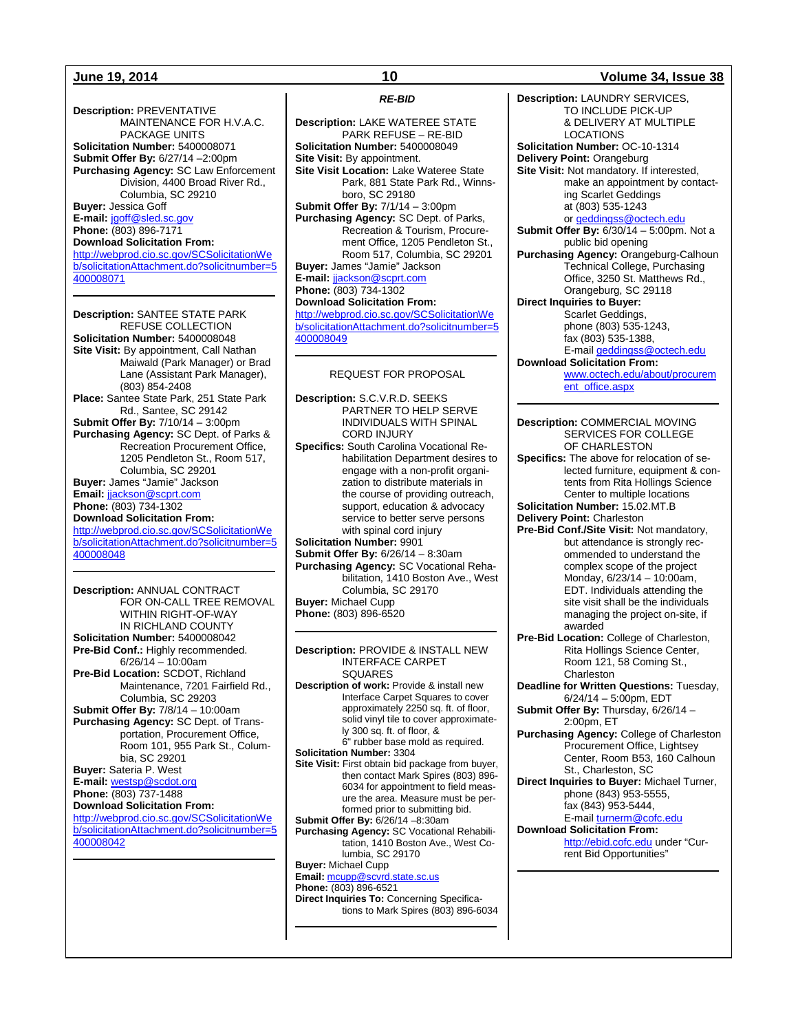**Description:** PREVENTATIVE MAINTENANCE FOR H.V.A.C. PACKAGE UNITS **Solicitation Number:** 5400008071 **Submit Offer By:** 6/27/14 –2:00pm **Purchasing Agency:** SC Law Enforcement Division, 4400 Broad River Rd., Columbia, SC 29210 **Buyer:** Jessica Goff **E-mail:** [jgoff@sled.sc.gov](mailto:jgoff@sled.sc.gov) **Phone:** (803) 896-7171 **Download Solicitation From:** [http://webprod.cio.sc.gov/SCSolicitationWe](http://webprod.cio.sc.gov/SCSolicitationWeb/solicitationAttachment.do?solicitnumber=5400008071) [b/solicitationAttachment.do?solicitnumber=5](http://webprod.cio.sc.gov/SCSolicitationWeb/solicitationAttachment.do?solicitnumber=5400008071) [400008071](http://webprod.cio.sc.gov/SCSolicitationWeb/solicitationAttachment.do?solicitnumber=5400008071)

**Description:** SANTEE STATE PARK REFUSE COLLECTION **Solicitation Number:** 5400008048 **Site Visit:** By appointment, Call Nathan Maiwald (Park Manager) or Brad Lane (Assistant Park Manager), (803) 854-2408 **Place:** Santee State Park, 251 State Park Rd., Santee, SC 29142 **Submit Offer By:** 7/10/14 – 3:00pm **Purchasing Agency:** SC Dept. of Parks & Recreation Procurement Office, 1205 Pendleton St., Room 517, Columbia, SC 29201 **Buyer:** James "Jamie" Jackson **Email:** [jjackson@scprt.com](mailto:jjackson@scprt.com) **Phone:** (803) 734-1302 **Download Solicitation From:** [http://webprod.cio.sc.gov/SCSolicitationWe](http://webprod.cio.sc.gov/SCSolicitationWeb/solicitationAttachment.do?solicitnumber=5400008048) [b/solicitationAttachment.do?solicitnumber=5](http://webprod.cio.sc.gov/SCSolicitationWeb/solicitationAttachment.do?solicitnumber=5400008048) [400008048](http://webprod.cio.sc.gov/SCSolicitationWeb/solicitationAttachment.do?solicitnumber=5400008048)

**Description:** ANNUAL CONTRACT FOR ON-CALL TREE REMOVAL WITHIN RIGHT-OF-WAY IN RICHLAND COUNTY **Solicitation Number:** 5400008042 **Pre-Bid Conf.:** Highly recommended. 6/26/14 – 10:00am **Pre-Bid Location:** SCDOT, Richland Maintenance, 7201 Fairfield Rd., Columbia, SC 29203 **Submit Offer By:** 7/8/14 – 10:00am **Purchasing Agency:** SC Dept. of Transportation, Procurement Office, Room 101, 955 Park St., Columbia, SC 29201 **Buyer:** Sateria P. West **E-mail:** [westsp@scdot.org](mailto:westsp@scdot.org) **Phone:** (803) 737-1488 **Download Solicitation From:** [http://webprod.cio.sc.gov/SCSolicitationWe](http://webprod.cio.sc.gov/SCSolicitationWeb/solicitationAttachment.do?solicitnumber=5400008042) [b/solicitationAttachment.do?solicitnumber=5](http://webprod.cio.sc.gov/SCSolicitationWeb/solicitationAttachment.do?solicitnumber=5400008042) [400008042](http://webprod.cio.sc.gov/SCSolicitationWeb/solicitationAttachment.do?solicitnumber=5400008042)

*RE-BID*

**Description:** LAKE WATEREE STATE PARK REFUSE – RE-BID **Solicitation Number:** 5400008049 **Site Visit:** By appointment. **Site Visit Location:** Lake Wateree State Park, 881 State Park Rd., Winnsboro, SC 29180 **Submit Offer By:** 7/1/14 – 3:00pm **Purchasing Agency:** SC Dept. of Parks, Recreation & Tourism, Procurement Office, 1205 Pendleton St., Room 517, Columbia, SC 29201 **Buyer:** James "Jamie" Jackson **E-mail:** [jjackson@scprt.com](mailto:jjackson@scprt.com) **Phone:** (803) 734-1302 **Download Solicitation From:** [http://webprod.cio.sc.gov/SCSolicitationWe](http://webprod.cio.sc.gov/SCSolicitationWeb/solicitationAttachment.do?solicitnumber=5400008049) [b/solicitationAttachment.do?solicitnumber=5](http://webprod.cio.sc.gov/SCSolicitationWeb/solicitationAttachment.do?solicitnumber=5400008049) [400008049](http://webprod.cio.sc.gov/SCSolicitationWeb/solicitationAttachment.do?solicitnumber=5400008049)

#### REQUEST FOR PROPOSAL

**Description:** S.C.V.R.D. SEEKS PARTNER TO HELP SERVE INDIVIDUALS WITH SPINAL CORD INJURY **Specifics:** South Carolina Vocational Rehabilitation Department desires to engage with a non-profit organization to distribute materials in the course of providing outreach, support, education & advocacy

service to better serve persons with spinal cord injury **Solicitation Number:** 9901 **Submit Offer By:** 6/26/14 – 8:30am **Purchasing Agency:** SC Vocational Rehabilitation, 1410 Boston Ave., West Columbia, SC 29170 **Buyer:** Michael Cupp

**Phone:** (803) 896-6520

**Description:** PROVIDE & INSTALL NEW INTERFACE CARPET SQUARES **Description of work:** Provide & install new Interface Carpet Squares to cover approximately 2250 sq. ft. of floor, solid vinyl tile to cover approximately 300 sq. ft. of floor, & 6" rubber base mold as required. **Solicitation Number:** 3304 **Site Visit:** First obtain bid package from buyer, then contact Mark Spires (803) 896- 6034 for appointment to field measure the area. Measure must be performed prior to submitting bid. **Submit Offer By:** 6/26/14 –8:30am **Purchasing Agency:** SC Vocational Rehabilitation, 1410 Boston Ave., West Columbia, SC 29170 **Buyer:** Michael Cupp **Email:** [mcupp@scvrd.state.sc.us](mailto:mcupp@scvrd.state.sc.us) **Phone:** (803) 896-6521 **Direct Inquiries To:** Concerning Specifications to Mark Spires (803) 896-6034

### **June 19, 2014 10 Volume 34, Issue 38**

**Description:** LAUNDRY SERVICES, TO INCLUDE PICK-UP & DELIVERY AT MULTIPLE LOCATIONS **Solicitation Number:** OC-10-1314 **Delivery Point:** Orangeburg **Site Visit:** Not mandatory. If interested, make an appointment by contacting Scarlet Geddings at (803) 535-1243 or [geddingss@octech.edu](mailto:geddingss@octech.edu) **Submit Offer By:** 6/30/14 – 5:00pm. Not a public bid opening **Purchasing Agency:** Orangeburg-Calhoun Technical College, Purchasing Office, 3250 St. Matthews Rd., Orangeburg, SC 29118 **Direct Inquiries to Buyer:** Scarlet Geddings, phone (803) 535-1243, fax (803) 535-1388, E-mai[l geddingss@octech.edu](mailto:geddingss@octech.edu) **Download Solicitation From:** [www.octech.edu/about/procurem](http://www.octech.edu/about/procurement_office.aspx) [ent\\_office.aspx](http://www.octech.edu/about/procurement_office.aspx) **Description:** COMMERCIAL MOVING SERVICES FOR COLLEGE OF CHARLESTON **Specifics:** The above for relocation of selected furniture, equipment & contents from Rita Hollings Science Center to multiple locations **Solicitation Number:** 15.02.MT.B **Delivery Point:** Charleston **Pre-Bid Conf./Site Visit:** Not mandatory, but attendance is strongly recommended to understand the complex scope of the project Monday, 6/23/14 – 10:00am, EDT. Individuals attending the site visit shall be the individuals managing the project on-site, if awarded **Pre-Bid Location:** College of Charleston, Rita Hollings Science Center, Room 121, 58 Coming St., **Charleston Deadline for Written Questions:** Tuesday, 6/24/14 – 5:00pm, EDT **Submit Offer By:** Thursday, 6/26/14 – 2:00pm, ET **Purchasing Agency:** College of Charleston Procurement Office, Lightsey Center, Room B53, 160 Calhoun St., Charleston, SC **Direct Inquiries to Buyer:** Michael Turner, phone (843) 953-5555, fax (843) 953-5444, E-mai[l turnerm@cofc.edu](mailto:turnerm@cofc.edu) **Download Solicitation From:** [http://ebid.cofc.edu](http://ebid.cofc.edu/) under "Current Bid Opportunities"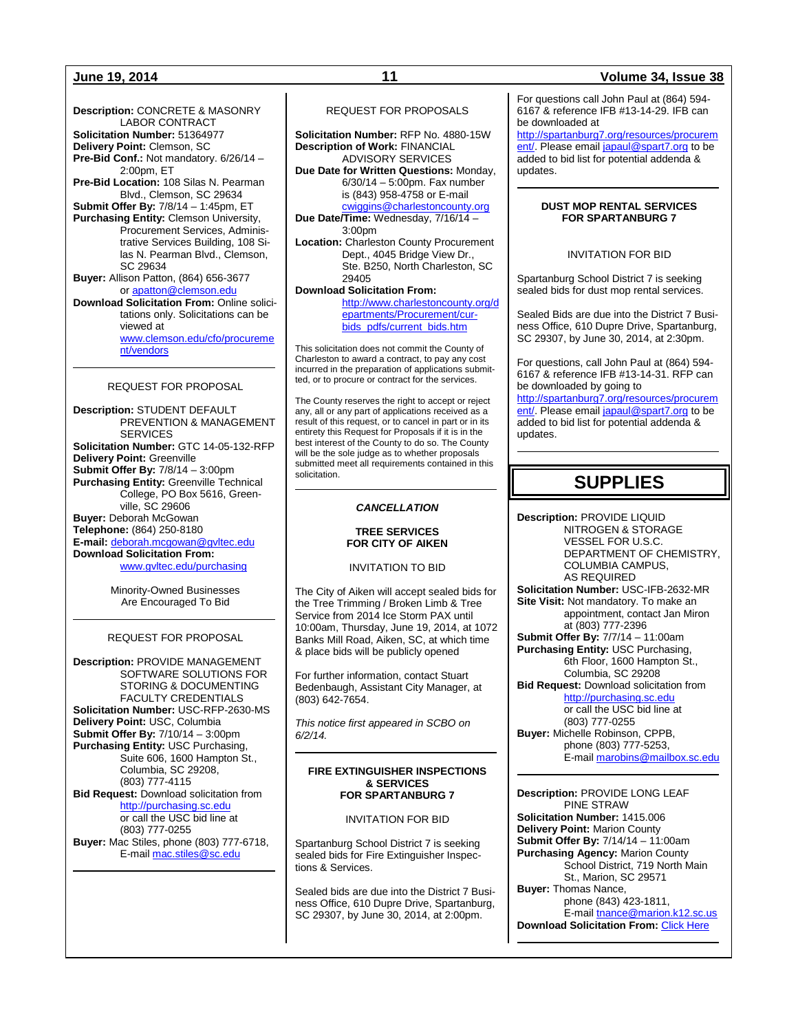**Description:** CONCRETE & MASONRY LABOR CONTRACT **Solicitation Number:** 51364977 **Delivery Point:** Clemson, SC **Pre-Bid Conf.:** Not mandatory. 6/26/14 – 2:00pm, ET **Pre-Bid Location:** 108 Silas N. Pearman Blvd., Clemson, SC 29634 **Submit Offer By:** 7/8/14 – 1:45pm, ET **Purchasing Entity:** Clemson University, Procurement Services, Administrative Services Building, 108 Silas N. Pearman Blvd., Clemson, SC 29634 **Buyer:** Allison Patton, (864) 656-3677 o[r apatton@clemson.edu](mailto:apatton@clemson.edu) **Download Solicitation From:** Online solicitations only. Solicitations can be viewed at [www.clemson.edu/cfo/procureme](http://www.clemson.edu/cfo/procurement/vendors) [nt/vendors](http://www.clemson.edu/cfo/procurement/vendors)

### REQUEST FOR PROPOSAL

**Description:** STUDENT DEFAULT PREVENTION & MANAGEMENT **SERVICES Solicitation Number:** GTC 14-05-132-RFP **Delivery Point:** Greenville **Submit Offer By:** 7/8/14 – 3:00pm **Purchasing Entity:** Greenville Technical College, PO Box 5616, Greenville, SC 29606 **Buyer:** Deborah McGowan **Telephone:** (864) 250-8180 **E-mail:** [deborah.mcgowan@gvltec.edu](mailto:deborah.mcgowan@gvltec.edu) **Download Solicitation From:** [www.gvltec.edu/purchasing](http://www.gvltec.edu/purchasing)

> Minority-Owned Businesses Are Encouraged To Bid

### REQUEST FOR PROPOSAL

**Description:** PROVIDE MANAGEMENT SOFTWARE SOLUTIONS FOR STORING & DOCUMENTING FACULTY CREDENTIALS **Solicitation Number:** USC-RFP-2630-MS **Delivery Point:** USC, Columbia **Submit Offer By:** 7/10/14 – 3:00pm **Purchasing Entity:** USC Purchasing, Suite 606, 1600 Hampton St., Columbia, SC 29208, (803) 777-4115 **Bid Request:** Download solicitation from [http://purchasing.sc.edu](http://purchasing.sc.edu/)

or call the USC bid line at (803) 777-0255 **Buyer:** Mac Stiles, phone (803) 777-6718, E-mail [mac.stiles@sc.edu](mailto:mac.stiles@sc.edu)

#### REQUEST FOR PROPOSALS

**Solicitation Number:** RFP No. 4880-15W **Description of Work:** FINANCIAL ADVISORY SERVICES **Due Date for Written Questions:** Monday, 6/30/14 – 5:00pm. Fax number is (843) 958-4758 or E-mail

[cwiggins@charlestoncounty.org](mailto:cwiggins@charlestoncounty.org) **Due Date/Time:** Wednesday, 7/16/14 – 3:00pm

**Location:** Charleston County Procurement Dept., 4045 Bridge View Dr., Ste. B250, North Charleston, SC 29405

**Download Solicitation From:**

[http://www.charlestoncounty.org/d](http://www.charlestoncounty.org/departments/Procurement/cur-bids_pdfs/current_bids.htm) [epartments/Procurement/cur](http://www.charlestoncounty.org/departments/Procurement/cur-bids_pdfs/current_bids.htm)[bids\\_pdfs/current\\_bids.htm](http://www.charlestoncounty.org/departments/Procurement/cur-bids_pdfs/current_bids.htm)

This solicitation does not commit the County of Charleston to award a contract, to pay any cost incurred in the preparation of applications submitted, or to procure or contract for the services.

The County reserves the right to accept or reject any, all or any part of applications received as a result of this request, or to cancel in part or in its entirety this Request for Proposals if it is in the best interest of the County to do so. The County will be the sole judge as to whether proposals submitted meet all requirements contained in this solicitation.

#### *CANCELLATION*

#### **TREE SERVICES FOR CITY OF AIKEN**

#### INVITATION TO BID

The City of Aiken will accept sealed bids for the Tree Trimming / Broken Limb & Tree Service from 2014 Ice Storm PAX until 10:00am, Thursday, June 19, 2014, at 1072 Banks Mill Road, Aiken, SC, at which time & place bids will be publicly opened

For further information, contact Stuart Bedenbaugh, Assistant City Manager, at (803) 642-7654.

*This notice first appeared in SCBO on 6/2/14.*

#### **FIRE EXTINGUISHER INSPECTIONS & SERVICES FOR SPARTANBURG 7**

#### INVITATION FOR BID

Spartanburg School District 7 is seeking sealed bids for Fire Extinguisher Inspections & Services.

Sealed bids are due into the District 7 Business Office, 610 Dupre Drive, Spartanburg, SC 29307, by June 30, 2014, at 2:00pm.

### **June 19, 2014 11 Volume 34, Issue 38**

For questions call John Paul at (864) 594- 6167 & reference IFB #13-14-29. IFB can be downloaded at [http://spartanburg7.org/resources/procurem](http://spartanburg7.org/resources/procurement/)

[ent/.](http://spartanburg7.org/resources/procurement/) Please emai[l japaul@spart7.org](mailto:japaul@spart7.org) to be added to bid list for potential addenda & updates.

#### **DUST MOP RENTAL SERVICES FOR SPARTANBURG 7**

#### INVITATION FOR BID

Spartanburg School District 7 is seeking sealed bids for dust mop rental services.

Sealed Bids are due into the District 7 Business Office, 610 Dupre Drive, Spartanburg, SC 29307, by June 30, 2014, at 2:30pm.

For questions, call John Paul at (864) 594- 6167 & reference IFB #13-14-31. RFP can be downloaded by going to

[http://spartanburg7.org/resources/procurem](http://spartanburg7.org/resources/procurement/) [ent/.](http://spartanburg7.org/resources/procurement/) Please emai[l japaul@spart7.org](mailto:japaul@spart7.org) to be added to bid list for potential addenda & updates.

## **SUPPLIES**

**Description:** PROVIDE LIQUID NITROGEN & STORAGE VESSEL FOR U.S.C. DEPARTMENT OF CHEMISTRY, COLUMBIA CAMPUS, AS REQUIRED **Solicitation Number:** USC-IFB-2632-MR **Site Visit:** Not mandatory. To make an appointment, contact Jan Miron at (803) 777-2396 **Submit Offer By:** 7/7/14 – 11:00am **Purchasing Entity:** USC Purchasing, 6th Floor, 1600 Hampton St., Columbia, SC 29208 **Bid Request:** Download solicitation from [http://purchasing.sc.edu](http://purchasing.sc.edu/) or call the USC bid line at (803) 777-0255 **Buyer:** Michelle Robinson, CPPB, phone (803) 777-5253, E-mai[l marobins@mailbox.sc.edu](mailto:marobins@mailbox.sc.edu)

**Description:** PROVIDE LONG LEAF PINE STRAW **Solicitation Number:** 1415.006 **Delivery Point:** Marion County **Submit Offer By:** 7/14/14 – 11:00am **Purchasing Agency:** Marion County School District, 719 North Main St., Marion, SC 29571 **Buyer:** Thomas Nance, phone (843) 423-1811, E-mai[l tnance@marion.k12.sc.us](mailto:tnance@marion.k12.sc.us) **Download Solicitation From:** [Click Here](http://www.marion.k12.sc.us/Default.asp?PN=DocumentUploads&L=2&DivisionID=14469&DepartmentID=15465&LMID=642570&ToggleSideNav=ShowAll)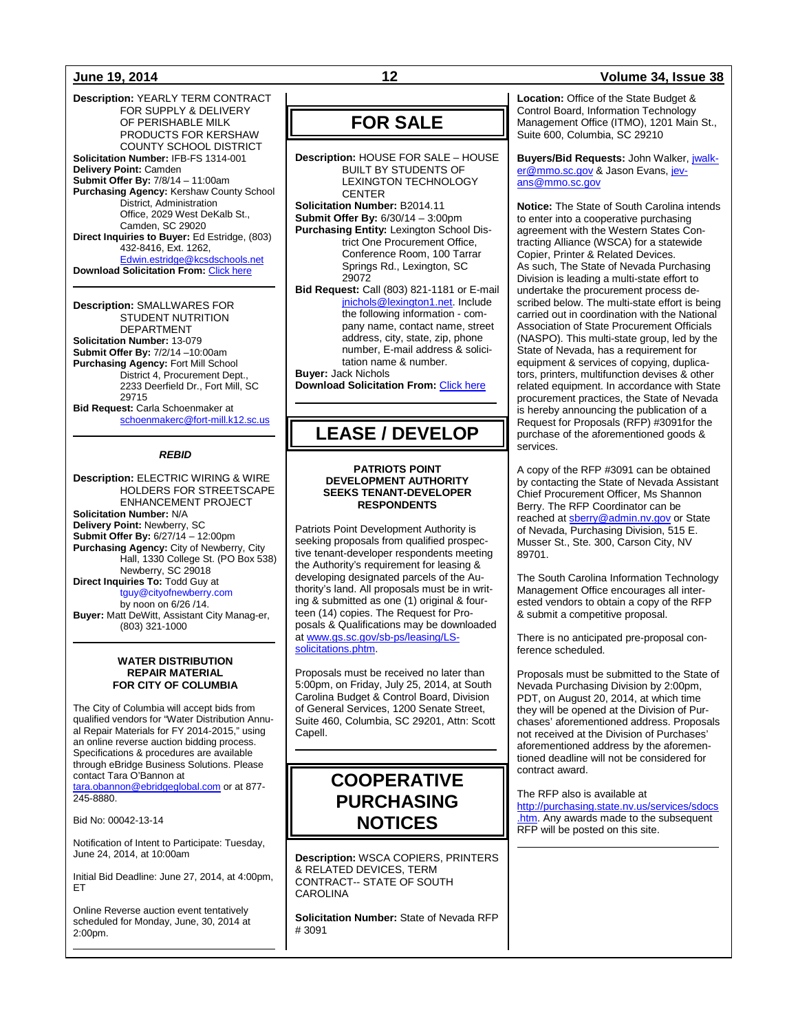**Description:** YEARLY TERM CONTRACT FOR SUPPLY & DELIVERY OF PERISHABLE MILK PRODUCTS FOR KERSHAW COUNTY SCHOOL DISTRICT **Solicitation Number:** IFB-FS 1314-001 **Delivery Point:** Camden **Submit Offer By:** 7/8/14 – 11:00am **Purchasing Agency:** Kershaw County School District, Administration Office, 2029 West DeKalb St., Camden, SC 29020 **Direct Inquiries to Buyer:** Ed Estridge, (803) 432-8416, Ext. 1262, [Edwin.estridge@kcsdschools.net](mailto:Edwin.estridge@kcsdschools.net) **Download Solicitation From: [Click here](http://www.kcsdschools.com/group_profile_view.aspx?id=b38ba7d7-4842-4655-bd34-00f92ccafa72)** 

**Description:** SMALLWARES FOR STUDENT NUTRITION DEPARTMENT **Solicitation Number:** 13-079 **Submit Offer By:** 7/2/14 –10:00am **Purchasing Agency:** Fort Mill School District 4, Procurement Dept., 2233 Deerfield Dr., Fort Mill, SC 29715 **Bid Request:** Carla Schoenmaker at [schoenmakerc@fort-mill.k12.sc.us](mailto:schoenmakerc@fort-mill.k12.sc.us)

#### *REBID*

**Description:** ELECTRIC WIRING & WIRE HOLDERS FOR STREETSCAPE ENHANCEMENT PROJECT **Solicitation Number:** N/A **Delivery Point:** Newberry, SC **Submit Offer By:** 6/27/14 – 12:00pm **Purchasing Agency:** City of Newberry, City Hall, 1330 College St. (PO Box 538) Newberry, SC 29018 **Direct Inquiries To:** Todd Guy at tguy@cityofnewberry.com by noon on 6/26 /14. **Buyer:** Matt DeWitt, Assistant City Manag-er,

> **WATER DISTRIBUTION REPAIR MATERIAL FOR CITY OF COLUMBIA**

(803) 321-1000

The City of Columbia will accept bids from qualified vendors for "Water Distribution Annual Repair Materials for FY 2014-2015," using an online reverse auction bidding process. Specifications & procedures are available through eBridge Business Solutions. Please contact Tara O'Bannon at [tara.obannon@ebridgeglobal.com](mailto:tara.obannon@ebridgeglobal.com) or at 877- 245-8880.

Bid No: 00042-13-14

Notification of Intent to Participate: Tuesday, June 24, 2014, at 10:00am

Initial Bid Deadline: June 27, 2014, at 4:00pm, ET

Online Reverse auction event tentatively scheduled for Monday, June, 30, 2014 at 2:00pm.

## **FOR SALE**

**Description:** HOUSE FOR SALE – HOUSE BUILT BY STUDENTS OF LEXINGTON TECHNOLOGY **CENTER Solicitation Number:** B2014.11

**Submit Offer By:** 6/30/14 – 3:00pm

**Purchasing Entity:** Lexington School District One Procurement Office, Conference Room, 100 Tarrar Springs Rd., Lexington, SC 29072

**Bid Request:** Call (803) 821-1181 or E-mail [jnichols@lexington1.net.](mailto:jnichols@lexington1.net) Include the following information - company name, contact name, street address, city, state, zip, phone number, E-mail address & solicitation name & number. **Buyer:** Jack Nichols

**Download Solicitation From:** [Click here](http://www.lexington1.net/lexoneweb/index.aspx?page=FiscalServices/Procurement/Procurementsolicitawards.aspx)

## **LEASE / DEVELOP**

#### **PATRIOTS POINT DEVELOPMENT AUTHORITY SEEKS TENANT-DEVELOPER RESPONDENTS**

Patriots Point Development Authority is seeking proposals from qualified prospective tenant-developer respondents meeting the Authority's requirement for leasing & developing designated parcels of the Authority's land. All proposals must be in writing & submitted as one (1) original & fourteen (14) copies. The Request for Proposals & Qualifications may be downloaded a[t www.gs.sc.gov/sb-ps/leasing/LS](http://www.gs.sc.gov/sb-ps/leasing/LS-solicitations.phtm)[solicitations.phtm.](http://www.gs.sc.gov/sb-ps/leasing/LS-solicitations.phtm)

Proposals must be received no later than 5:00pm, on Friday, July 25, 2014, at South Carolina Budget & Control Board, Division of General Services, 1200 Senate Street, Suite 460, Columbia, SC 29201, Attn: Scott Capell.

## **COOPERATIVE PURCHASING NOTICES**

**Description:** WSCA COPIERS, PRINTERS & RELATED DEVICES, TERM CONTRACT-- STATE OF SOUTH CAROLINA

**Solicitation Number:** State of Nevada RFP # 3091

#### **Location:** Office of the State Budget & Control Board, Information Technology Management Office (ITMO), 1201 Main St.,

Suite 600, Columbia, SC 29210 **Buyers/Bid Requests:** John Walker, [jwalk-](mailto:jwalker@mmo.sc.gov)

[er@mmo.sc.gov](mailto:jwalker@mmo.sc.gov) & Jason Evans[, jev](mailto:jevans@mmo.sc.gov)[ans@mmo.sc.gov](mailto:jevans@mmo.sc.gov)

**Notice:** The State of South Carolina intends to enter into a cooperative purchasing agreement with the Western States Contracting Alliance (WSCA) for a statewide Copier, Printer & Related Devices. As such, The State of Nevada Purchasing Division is leading a multi-state effort to undertake the procurement process described below. The multi-state effort is being carried out in coordination with the National Association of State Procurement Officials (NASPO). This multi-state group, led by the State of Nevada, has a requirement for equipment & services of copying, duplicators, printers, multifunction devises & other related equipment. In accordance with State procurement practices, the State of Nevada is hereby announcing the publication of a Request for Proposals (RFP) #3091for the purchase of the aforementioned goods & services.

A copy of the RFP #3091 can be obtained by contacting the State of Nevada Assistant Chief Procurement Officer, Ms Shannon Berry. The RFP Coordinator can be reached at [sberry@admin.nv.gov](mailto:sberry@admin.nv.gov) or State of Nevada, Purchasing Division, 515 E. Musser St., Ste. 300, Carson City, NV 89701.

The South Carolina Information Technology Management Office encourages all interested vendors to obtain a copy of the RFP & submit a competitive proposal.

There is no anticipated pre-proposal conference scheduled.

Proposals must be submitted to the State of Nevada Purchasing Division by 2:00pm, PDT, on August 20, 2014, at which time they will be opened at the Division of Purchases' aforementioned address. Proposals not received at the Division of Purchases' aforementioned address by the aforementioned deadline will not be considered for contract award.

The RFP also is available at

[http://purchasing.state.nv.us/services/sdocs](http://purchasing.state.nv.us/services/sdocs.htm) [.htm.](http://purchasing.state.nv.us/services/sdocs.htm) Any awards made to the subsequent RFP will be posted on this site.

### **June 19, 2014 12 Volume 34, Issue 38**